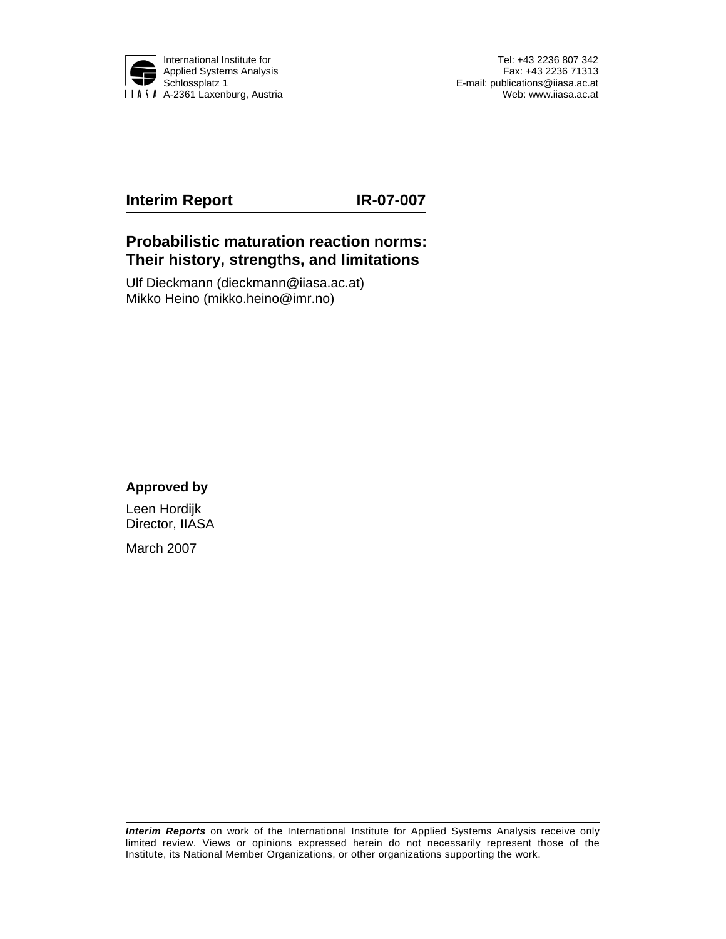

# **Interim Report IR-07-007**

# **Probabilistic maturation reaction norms: Their history, strengths, and limitations**

Ulf Dieckmann (dieckmann@iiasa.ac.at) Mikko Heino (mikko.heino@imr.no)

# **Approved by**

Leen Hordijk Director, IIASA

March 2007

*Interim Reports* on work of the International Institute for Applied Systems Analysis receive only limited review. Views or opinions expressed herein do not necessarily represent those of the Institute, its National Member Organizations, or other organizations supporting the work.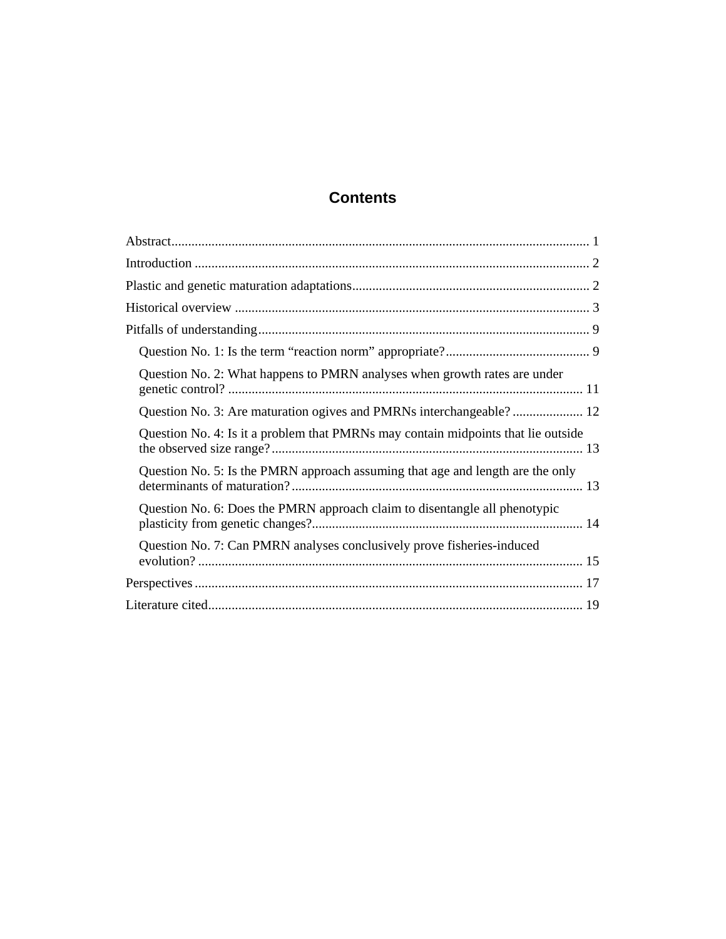# **Contents**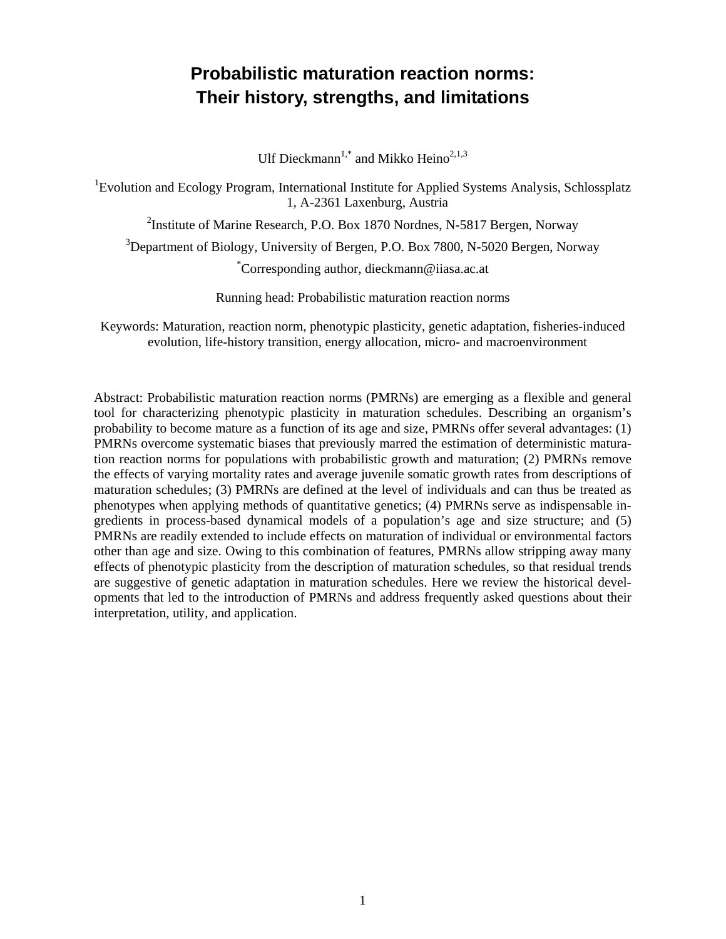# **Probabilistic maturation reaction norms: Their history, strengths, and limitations**

Ulf Dieckmann<sup>1,\*</sup> and Mikko Heino<sup>2,1,3</sup>

<sup>1</sup> Evolution and Ecology Program, International Institute for Applied Systems Analysis, Schlossplatz 1, A-2361 Laxenburg, Austria

<sup>2</sup>Institute of Marine Research, P.O. Box 1870 Nordnes, N-5817 Bergen, Norway

<sup>3</sup>Department of Biology, University of Bergen, P.O. Box 7800, N-5020 Bergen, Norway

\* Corresponding author, dieckmann@iiasa.ac.at

Running head: Probabilistic maturation reaction norms

Keywords: Maturation, reaction norm, phenotypic plasticity, genetic adaptation, fisheries-induced evolution, life-history transition, energy allocation, micro- and macroenvironment

Abstract: Probabilistic maturation reaction norms (PMRNs) are emerging as a flexible and general tool for characterizing phenotypic plasticity in maturation schedules. Describing an organism's probability to become mature as a function of its age and size, PMRNs offer several advantages: (1) PMRNs overcome systematic biases that previously marred the estimation of deterministic maturation reaction norms for populations with probabilistic growth and maturation; (2) PMRNs remove the effects of varying mortality rates and average juvenile somatic growth rates from descriptions of maturation schedules; (3) PMRNs are defined at the level of individuals and can thus be treated as phenotypes when applying methods of quantitative genetics; (4) PMRNs serve as indispensable ingredients in process-based dynamical models of a population's age and size structure; and (5) PMRNs are readily extended to include effects on maturation of individual or environmental factors other than age and size. Owing to this combination of features, PMRNs allow stripping away many effects of phenotypic plasticity from the description of maturation schedules, so that residual trends are suggestive of genetic adaptation in maturation schedules. Here we review the historical developments that led to the introduction of PMRNs and address frequently asked questions about their interpretation, utility, and application.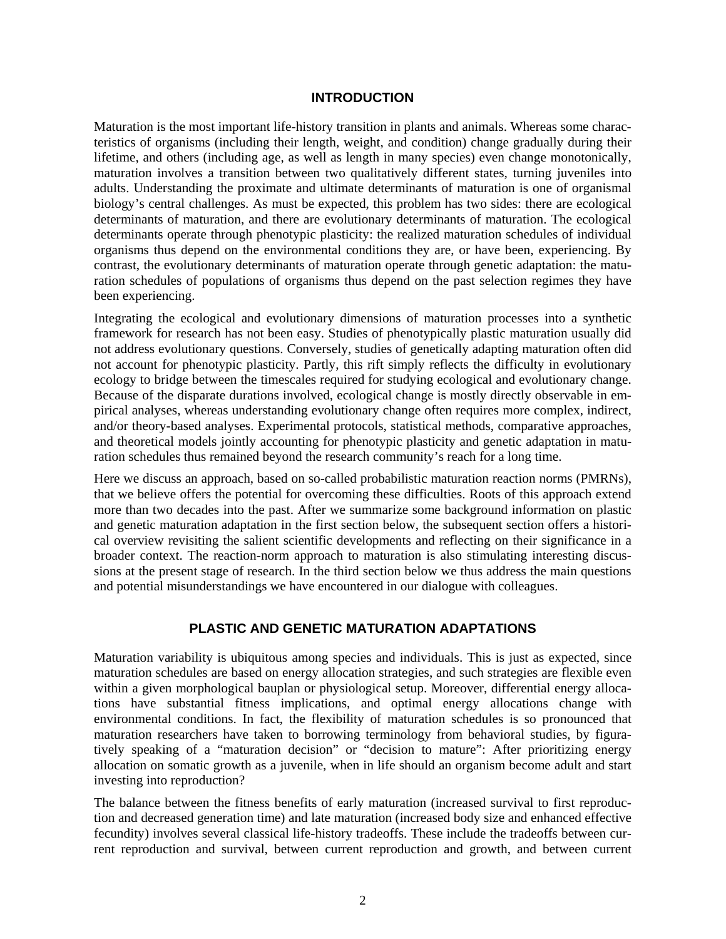#### **INTRODUCTION**

Maturation is the most important life-history transition in plants and animals. Whereas some characteristics of organisms (including their length, weight, and condition) change gradually during their lifetime, and others (including age, as well as length in many species) even change monotonically, maturation involves a transition between two qualitatively different states, turning juveniles into adults. Understanding the proximate and ultimate determinants of maturation is one of organismal biology's central challenges. As must be expected, this problem has two sides: there are ecological determinants of maturation, and there are evolutionary determinants of maturation. The ecological determinants operate through phenotypic plasticity: the realized maturation schedules of individual organisms thus depend on the environmental conditions they are, or have been, experiencing. By contrast, the evolutionary determinants of maturation operate through genetic adaptation: the maturation schedules of populations of organisms thus depend on the past selection regimes they have been experiencing.

Integrating the ecological and evolutionary dimensions of maturation processes into a synthetic framework for research has not been easy. Studies of phenotypically plastic maturation usually did not address evolutionary questions. Conversely, studies of genetically adapting maturation often did not account for phenotypic plasticity. Partly, this rift simply reflects the difficulty in evolutionary ecology to bridge between the timescales required for studying ecological and evolutionary change. Because of the disparate durations involved, ecological change is mostly directly observable in empirical analyses, whereas understanding evolutionary change often requires more complex, indirect, and/or theory-based analyses. Experimental protocols, statistical methods, comparative approaches, and theoretical models jointly accounting for phenotypic plasticity and genetic adaptation in maturation schedules thus remained beyond the research community's reach for a long time.

Here we discuss an approach, based on so-called probabilistic maturation reaction norms (PMRNs), that we believe offers the potential for overcoming these difficulties. Roots of this approach extend more than two decades into the past. After we summarize some background information on plastic and genetic maturation adaptation in the first section below, the subsequent section offers a historical overview revisiting the salient scientific developments and reflecting on their significance in a broader context. The reaction-norm approach to maturation is also stimulating interesting discussions at the present stage of research. In the third section below we thus address the main questions and potential misunderstandings we have encountered in our dialogue with colleagues.

# **PLASTIC AND GENETIC MATURATION ADAPTATIONS**

Maturation variability is ubiquitous among species and individuals. This is just as expected, since maturation schedules are based on energy allocation strategies, and such strategies are flexible even within a given morphological bauplan or physiological setup. Moreover, differential energy allocations have substantial fitness implications, and optimal energy allocations change with environmental conditions. In fact, the flexibility of maturation schedules is so pronounced that maturation researchers have taken to borrowing terminology from behavioral studies, by figuratively speaking of a "maturation decision" or "decision to mature": After prioritizing energy allocation on somatic growth as a juvenile, when in life should an organism become adult and start investing into reproduction?

The balance between the fitness benefits of early maturation (increased survival to first reproduction and decreased generation time) and late maturation (increased body size and enhanced effective fecundity) involves several classical life-history tradeoffs. These include the tradeoffs between current reproduction and survival, between current reproduction and growth, and between current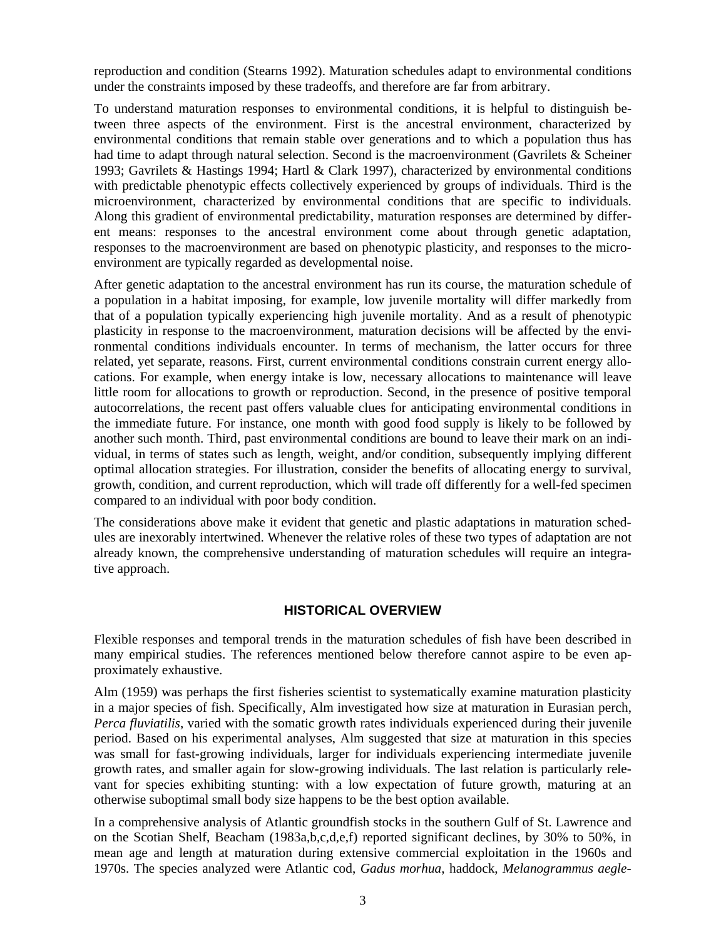reproduction and condition (Stearns 1992). Maturation schedules adapt to environmental conditions under the constraints imposed by these tradeoffs, and therefore are far from arbitrary.

To understand maturation responses to environmental conditions, it is helpful to distinguish between three aspects of the environment. First is the ancestral environment, characterized by environmental conditions that remain stable over generations and to which a population thus has had time to adapt through natural selection. Second is the macroenvironment (Gavrilets & Scheiner 1993; Gavrilets & Hastings 1994; Hartl & Clark 1997), characterized by environmental conditions with predictable phenotypic effects collectively experienced by groups of individuals. Third is the microenvironment, characterized by environmental conditions that are specific to individuals. Along this gradient of environmental predictability, maturation responses are determined by different means: responses to the ancestral environment come about through genetic adaptation, responses to the macroenvironment are based on phenotypic plasticity, and responses to the microenvironment are typically regarded as developmental noise.

After genetic adaptation to the ancestral environment has run its course, the maturation schedule of a population in a habitat imposing, for example, low juvenile mortality will differ markedly from that of a population typically experiencing high juvenile mortality. And as a result of phenotypic plasticity in response to the macroenvironment, maturation decisions will be affected by the environmental conditions individuals encounter. In terms of mechanism, the latter occurs for three related, yet separate, reasons. First, current environmental conditions constrain current energy allocations. For example, when energy intake is low, necessary allocations to maintenance will leave little room for allocations to growth or reproduction. Second, in the presence of positive temporal autocorrelations, the recent past offers valuable clues for anticipating environmental conditions in the immediate future. For instance, one month with good food supply is likely to be followed by another such month. Third, past environmental conditions are bound to leave their mark on an individual, in terms of states such as length, weight, and/or condition, subsequently implying different optimal allocation strategies. For illustration, consider the benefits of allocating energy to survival, growth, condition, and current reproduction, which will trade off differently for a well-fed specimen compared to an individual with poor body condition.

The considerations above make it evident that genetic and plastic adaptations in maturation schedules are inexorably intertwined. Whenever the relative roles of these two types of adaptation are not already known, the comprehensive understanding of maturation schedules will require an integrative approach.

#### **HISTORICAL OVERVIEW**

Flexible responses and temporal trends in the maturation schedules of fish have been described in many empirical studies. The references mentioned below therefore cannot aspire to be even approximately exhaustive.

Alm (1959) was perhaps the first fisheries scientist to systematically examine maturation plasticity in a major species of fish. Specifically, Alm investigated how size at maturation in Eurasian perch, *Perca fluviatilis*, varied with the somatic growth rates individuals experienced during their juvenile period. Based on his experimental analyses, Alm suggested that size at maturation in this species was small for fast-growing individuals, larger for individuals experiencing intermediate juvenile growth rates, and smaller again for slow-growing individuals. The last relation is particularly relevant for species exhibiting stunting: with a low expectation of future growth, maturing at an otherwise suboptimal small body size happens to be the best option available.

In a comprehensive analysis of Atlantic groundfish stocks in the southern Gulf of St. Lawrence and on the Scotian Shelf, Beacham (1983a,b,c,d,e,f) reported significant declines, by 30% to 50%, in mean age and length at maturation during extensive commercial exploitation in the 1960s and 1970s. The species analyzed were Atlantic cod, *Gadus morhua*, haddock, *Melanogrammus aegle-*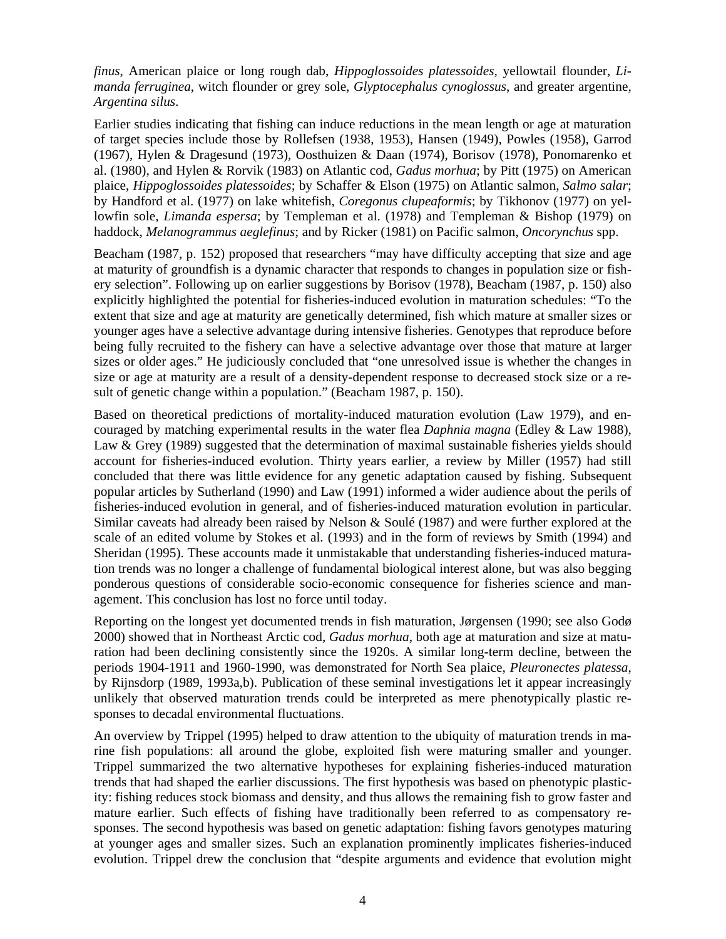*finus*, American plaice or long rough dab, *Hippoglossoides platessoides*, yellowtail flounder, *Limanda ferruginea*, witch flounder or grey sole, *Glyptocephalus cynoglossus*, and greater argentine, *Argentina silus*.

Earlier studies indicating that fishing can induce reductions in the mean length or age at maturation of target species include those by Rollefsen (1938, 1953), Hansen (1949), Powles (1958), Garrod (1967), Hylen & Dragesund (1973), Oosthuizen & Daan (1974), Borisov (1978), Ponomarenko et al. (1980), and Hylen & Rorvik (1983) on Atlantic cod, *Gadus morhua*; by Pitt (1975) on American plaice, *Hippoglossoides platessoides*; by Schaffer & Elson (1975) on Atlantic salmon, *Salmo salar*; by Handford et al. (1977) on lake whitefish, *Coregonus clupeaformis*; by Tikhonov (1977) on yellowfin sole, *Limanda espersa*; by Templeman et al. (1978) and Templeman & Bishop (1979) on haddock, *Melanogrammus aeglefinus*; and by Ricker (1981) on Pacific salmon, *Oncorynchus* spp.

Beacham (1987, p. 152) proposed that researchers "may have difficulty accepting that size and age at maturity of groundfish is a dynamic character that responds to changes in population size or fishery selection". Following up on earlier suggestions by Borisov (1978), Beacham (1987, p. 150) also explicitly highlighted the potential for fisheries-induced evolution in maturation schedules: "To the extent that size and age at maturity are genetically determined, fish which mature at smaller sizes or younger ages have a selective advantage during intensive fisheries. Genotypes that reproduce before being fully recruited to the fishery can have a selective advantage over those that mature at larger sizes or older ages." He judiciously concluded that "one unresolved issue is whether the changes in size or age at maturity are a result of a density-dependent response to decreased stock size or a result of genetic change within a population." (Beacham 1987, p. 150).

Based on theoretical predictions of mortality-induced maturation evolution (Law 1979), and encouraged by matching experimental results in the water flea *Daphnia magna* (Edley & Law 1988), Law & Grey (1989) suggested that the determination of maximal sustainable fisheries yields should account for fisheries-induced evolution. Thirty years earlier, a review by Miller (1957) had still concluded that there was little evidence for any genetic adaptation caused by fishing. Subsequent popular articles by Sutherland (1990) and Law (1991) informed a wider audience about the perils of fisheries-induced evolution in general, and of fisheries-induced maturation evolution in particular. Similar caveats had already been raised by Nelson & Soulé (1987) and were further explored at the scale of an edited volume by Stokes et al. (1993) and in the form of reviews by Smith (1994) and Sheridan (1995). These accounts made it unmistakable that understanding fisheries-induced maturation trends was no longer a challenge of fundamental biological interest alone, but was also begging ponderous questions of considerable socio-economic consequence for fisheries science and management. This conclusion has lost no force until today.

Reporting on the longest yet documented trends in fish maturation, Jørgensen (1990; see also Godø 2000) showed that in Northeast Arctic cod, *Gadus morhua*, both age at maturation and size at maturation had been declining consistently since the 1920s. A similar long-term decline, between the periods 1904-1911 and 1960-1990, was demonstrated for North Sea plaice, *Pleuronectes platessa*, by Rijnsdorp (1989, 1993a,b). Publication of these seminal investigations let it appear increasingly unlikely that observed maturation trends could be interpreted as mere phenotypically plastic responses to decadal environmental fluctuations.

An overview by Trippel (1995) helped to draw attention to the ubiquity of maturation trends in marine fish populations: all around the globe, exploited fish were maturing smaller and younger. Trippel summarized the two alternative hypotheses for explaining fisheries-induced maturation trends that had shaped the earlier discussions. The first hypothesis was based on phenotypic plasticity: fishing reduces stock biomass and density, and thus allows the remaining fish to grow faster and mature earlier. Such effects of fishing have traditionally been referred to as compensatory responses. The second hypothesis was based on genetic adaptation: fishing favors genotypes maturing at younger ages and smaller sizes. Such an explanation prominently implicates fisheries-induced evolution. Trippel drew the conclusion that "despite arguments and evidence that evolution might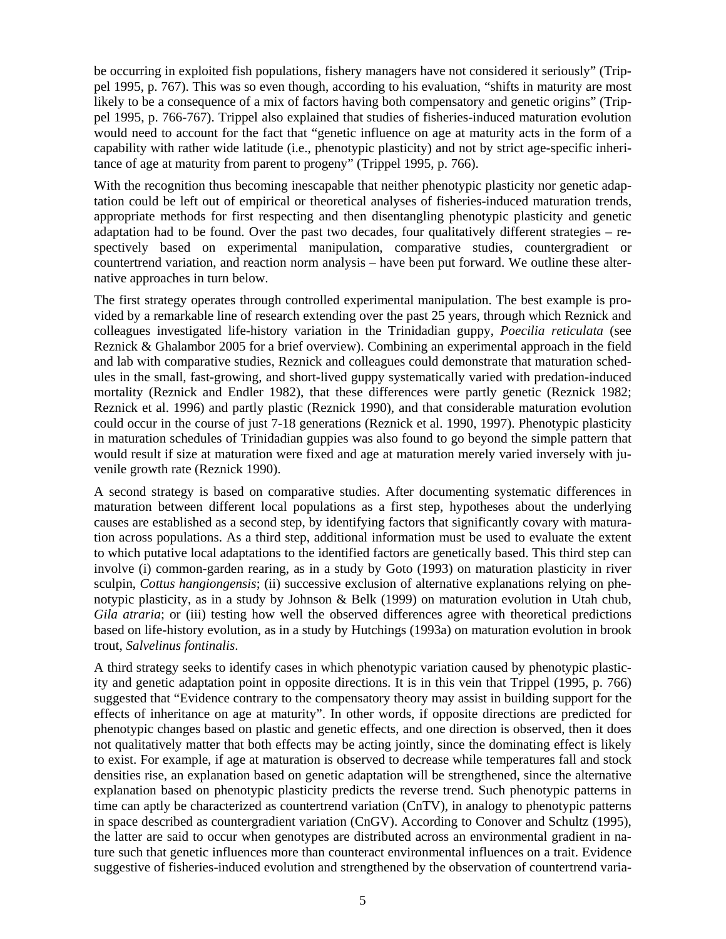be occurring in exploited fish populations, fishery managers have not considered it seriously" (Trippel 1995, p. 767). This was so even though, according to his evaluation, "shifts in maturity are most likely to be a consequence of a mix of factors having both compensatory and genetic origins" (Trippel 1995, p. 766-767). Trippel also explained that studies of fisheries-induced maturation evolution would need to account for the fact that "genetic influence on age at maturity acts in the form of a capability with rather wide latitude (i.e., phenotypic plasticity) and not by strict age-specific inheritance of age at maturity from parent to progeny" (Trippel 1995, p. 766).

With the recognition thus becoming inescapable that neither phenotypic plasticity nor genetic adaptation could be left out of empirical or theoretical analyses of fisheries-induced maturation trends, appropriate methods for first respecting and then disentangling phenotypic plasticity and genetic adaptation had to be found. Over the past two decades, four qualitatively different strategies – respectively based on experimental manipulation, comparative studies, countergradient or countertrend variation, and reaction norm analysis – have been put forward. We outline these alternative approaches in turn below.

The first strategy operates through controlled experimental manipulation. The best example is provided by a remarkable line of research extending over the past 25 years, through which Reznick and colleagues investigated life-history variation in the Trinidadian guppy, *Poecilia reticulata* (see Reznick & Ghalambor 2005 for a brief overview). Combining an experimental approach in the field and lab with comparative studies, Reznick and colleagues could demonstrate that maturation schedules in the small, fast-growing, and short-lived guppy systematically varied with predation-induced mortality (Reznick and Endler 1982), that these differences were partly genetic (Reznick 1982; Reznick et al. 1996) and partly plastic (Reznick 1990), and that considerable maturation evolution could occur in the course of just 7-18 generations (Reznick et al. 1990, 1997). Phenotypic plasticity in maturation schedules of Trinidadian guppies was also found to go beyond the simple pattern that would result if size at maturation were fixed and age at maturation merely varied inversely with juvenile growth rate (Reznick 1990).

A second strategy is based on comparative studies. After documenting systematic differences in maturation between different local populations as a first step, hypotheses about the underlying causes are established as a second step, by identifying factors that significantly covary with maturation across populations. As a third step, additional information must be used to evaluate the extent to which putative local adaptations to the identified factors are genetically based. This third step can involve (i) common-garden rearing, as in a study by Goto (1993) on maturation plasticity in river sculpin, *Cottus hangiongensis*; (ii) successive exclusion of alternative explanations relying on phenotypic plasticity, as in a study by Johnson & Belk (1999) on maturation evolution in Utah chub, *Gila atraria*; or (iii) testing how well the observed differences agree with theoretical predictions based on life-history evolution, as in a study by Hutchings (1993a) on maturation evolution in brook trout, *Salvelinus fontinalis*.

A third strategy seeks to identify cases in which phenotypic variation caused by phenotypic plasticity and genetic adaptation point in opposite directions. It is in this vein that Trippel (1995, p. 766) suggested that "Evidence contrary to the compensatory theory may assist in building support for the effects of inheritance on age at maturity". In other words, if opposite directions are predicted for phenotypic changes based on plastic and genetic effects, and one direction is observed, then it does not qualitatively matter that both effects may be acting jointly, since the dominating effect is likely to exist. For example, if age at maturation is observed to decrease while temperatures fall and stock densities rise, an explanation based on genetic adaptation will be strengthened, since the alternative explanation based on phenotypic plasticity predicts the reverse trend. Such phenotypic patterns in time can aptly be characterized as countertrend variation (CnTV), in analogy to phenotypic patterns in space described as countergradient variation (CnGV). According to Conover and Schultz (1995), the latter are said to occur when genotypes are distributed across an environmental gradient in nature such that genetic influences more than counteract environmental influences on a trait. Evidence suggestive of fisheries-induced evolution and strengthened by the observation of countertrend varia-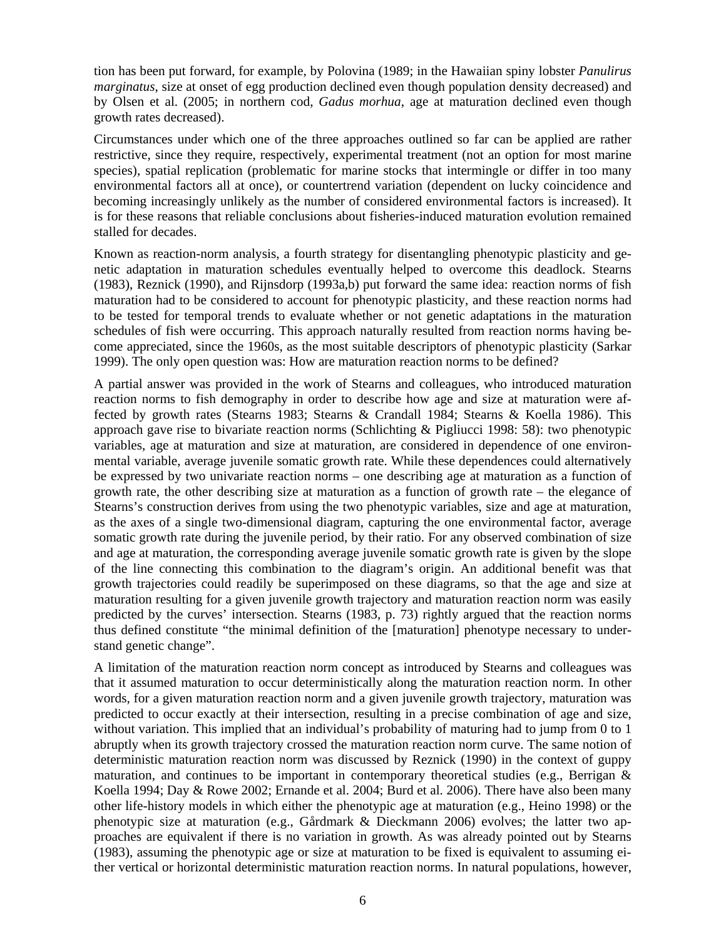tion has been put forward, for example, by Polovina (1989; in the Hawaiian spiny lobster *Panulirus marginatus*, size at onset of egg production declined even though population density decreased) and by Olsen et al. (2005; in northern cod, *Gadus morhua*, age at maturation declined even though growth rates decreased).

Circumstances under which one of the three approaches outlined so far can be applied are rather restrictive, since they require, respectively, experimental treatment (not an option for most marine species), spatial replication (problematic for marine stocks that intermingle or differ in too many environmental factors all at once), or countertrend variation (dependent on lucky coincidence and becoming increasingly unlikely as the number of considered environmental factors is increased). It is for these reasons that reliable conclusions about fisheries-induced maturation evolution remained stalled for decades.

Known as reaction-norm analysis, a fourth strategy for disentangling phenotypic plasticity and genetic adaptation in maturation schedules eventually helped to overcome this deadlock. Stearns (1983), Reznick (1990), and Rijnsdorp (1993a,b) put forward the same idea: reaction norms of fish maturation had to be considered to account for phenotypic plasticity, and these reaction norms had to be tested for temporal trends to evaluate whether or not genetic adaptations in the maturation schedules of fish were occurring. This approach naturally resulted from reaction norms having become appreciated, since the 1960s, as the most suitable descriptors of phenotypic plasticity (Sarkar 1999). The only open question was: How are maturation reaction norms to be defined?

A partial answer was provided in the work of Stearns and colleagues, who introduced maturation reaction norms to fish demography in order to describe how age and size at maturation were affected by growth rates (Stearns 1983; Stearns & Crandall 1984; Stearns & Koella 1986). This approach gave rise to bivariate reaction norms (Schlichting & Pigliucci 1998: 58): two phenotypic variables, age at maturation and size at maturation, are considered in dependence of one environmental variable, average juvenile somatic growth rate. While these dependences could alternatively be expressed by two univariate reaction norms – one describing age at maturation as a function of growth rate, the other describing size at maturation as a function of growth rate – the elegance of Stearns's construction derives from using the two phenotypic variables, size and age at maturation, as the axes of a single two-dimensional diagram, capturing the one environmental factor, average somatic growth rate during the juvenile period, by their ratio. For any observed combination of size and age at maturation, the corresponding average juvenile somatic growth rate is given by the slope of the line connecting this combination to the diagram's origin. An additional benefit was that growth trajectories could readily be superimposed on these diagrams, so that the age and size at maturation resulting for a given juvenile growth trajectory and maturation reaction norm was easily predicted by the curves' intersection. Stearns (1983, p. 73) rightly argued that the reaction norms thus defined constitute "the minimal definition of the [maturation] phenotype necessary to understand genetic change".

A limitation of the maturation reaction norm concept as introduced by Stearns and colleagues was that it assumed maturation to occur deterministically along the maturation reaction norm. In other words, for a given maturation reaction norm and a given juvenile growth trajectory, maturation was predicted to occur exactly at their intersection, resulting in a precise combination of age and size, without variation. This implied that an individual's probability of maturing had to jump from 0 to 1 abruptly when its growth trajectory crossed the maturation reaction norm curve. The same notion of deterministic maturation reaction norm was discussed by Reznick (1990) in the context of guppy maturation, and continues to be important in contemporary theoretical studies (e.g., Berrigan & Koella 1994; Day & Rowe 2002; Ernande et al. 2004; Burd et al. 2006). There have also been many other life-history models in which either the phenotypic age at maturation (e.g., Heino 1998) or the phenotypic size at maturation (e.g., Gårdmark & Dieckmann 2006) evolves; the latter two approaches are equivalent if there is no variation in growth. As was already pointed out by Stearns (1983), assuming the phenotypic age or size at maturation to be fixed is equivalent to assuming either vertical or horizontal deterministic maturation reaction norms. In natural populations, however,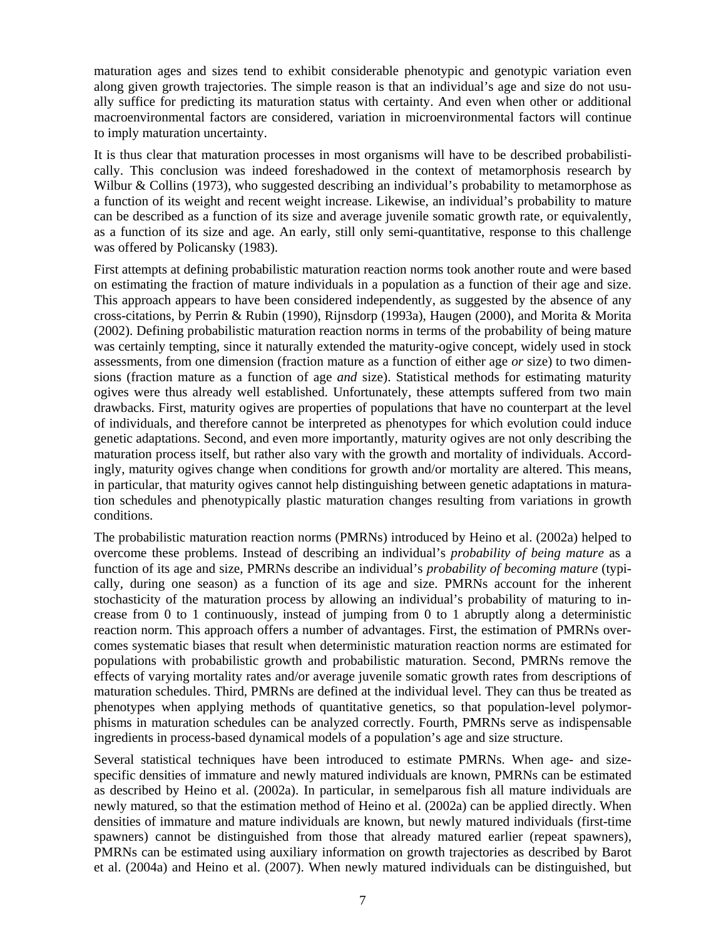maturation ages and sizes tend to exhibit considerable phenotypic and genotypic variation even along given growth trajectories. The simple reason is that an individual's age and size do not usually suffice for predicting its maturation status with certainty. And even when other or additional macroenvironmental factors are considered, variation in microenvironmental factors will continue to imply maturation uncertainty.

It is thus clear that maturation processes in most organisms will have to be described probabilistically. This conclusion was indeed foreshadowed in the context of metamorphosis research by Wilbur  $\&$  Collins (1973), who suggested describing an individual's probability to metamorphose as a function of its weight and recent weight increase. Likewise, an individual's probability to mature can be described as a function of its size and average juvenile somatic growth rate, or equivalently, as a function of its size and age. An early, still only semi-quantitative, response to this challenge was offered by Policansky (1983).

First attempts at defining probabilistic maturation reaction norms took another route and were based on estimating the fraction of mature individuals in a population as a function of their age and size. This approach appears to have been considered independently, as suggested by the absence of any cross-citations, by Perrin & Rubin (1990), Rijnsdorp (1993a), Haugen (2000), and Morita & Morita (2002). Defining probabilistic maturation reaction norms in terms of the probability of being mature was certainly tempting, since it naturally extended the maturity-ogive concept, widely used in stock assessments, from one dimension (fraction mature as a function of either age *or* size) to two dimensions (fraction mature as a function of age *and* size). Statistical methods for estimating maturity ogives were thus already well established. Unfortunately, these attempts suffered from two main drawbacks. First, maturity ogives are properties of populations that have no counterpart at the level of individuals, and therefore cannot be interpreted as phenotypes for which evolution could induce genetic adaptations. Second, and even more importantly, maturity ogives are not only describing the maturation process itself, but rather also vary with the growth and mortality of individuals. Accordingly, maturity ogives change when conditions for growth and/or mortality are altered. This means, in particular, that maturity ogives cannot help distinguishing between genetic adaptations in maturation schedules and phenotypically plastic maturation changes resulting from variations in growth conditions.

The probabilistic maturation reaction norms (PMRNs) introduced by Heino et al. (2002a) helped to overcome these problems. Instead of describing an individual's *probability of being mature* as a function of its age and size, PMRNs describe an individual's *probability of becoming mature* (typically, during one season) as a function of its age and size. PMRNs account for the inherent stochasticity of the maturation process by allowing an individual's probability of maturing to increase from 0 to 1 continuously, instead of jumping from 0 to 1 abruptly along a deterministic reaction norm. This approach offers a number of advantages. First, the estimation of PMRNs overcomes systematic biases that result when deterministic maturation reaction norms are estimated for populations with probabilistic growth and probabilistic maturation. Second, PMRNs remove the effects of varying mortality rates and/or average juvenile somatic growth rates from descriptions of maturation schedules. Third, PMRNs are defined at the individual level. They can thus be treated as phenotypes when applying methods of quantitative genetics, so that population-level polymorphisms in maturation schedules can be analyzed correctly. Fourth, PMRNs serve as indispensable ingredients in process-based dynamical models of a population's age and size structure.

Several statistical techniques have been introduced to estimate PMRNs. When age- and sizespecific densities of immature and newly matured individuals are known, PMRNs can be estimated as described by Heino et al. (2002a). In particular, in semelparous fish all mature individuals are newly matured, so that the estimation method of Heino et al. (2002a) can be applied directly. When densities of immature and mature individuals are known, but newly matured individuals (first-time spawners) cannot be distinguished from those that already matured earlier (repeat spawners), PMRNs can be estimated using auxiliary information on growth trajectories as described by Barot et al. (2004a) and Heino et al. (2007). When newly matured individuals can be distinguished, but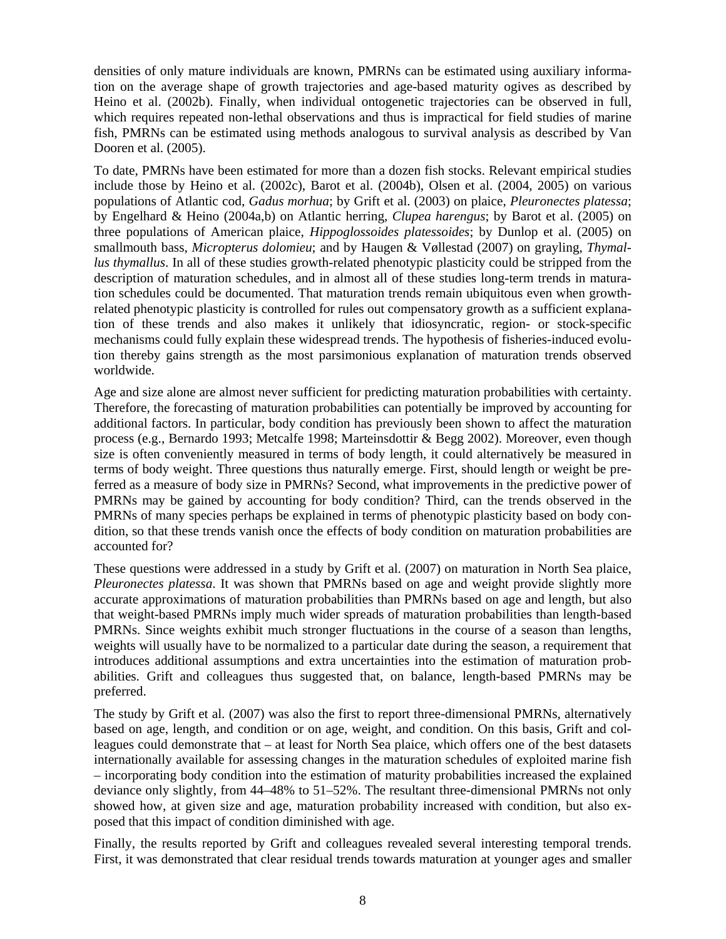densities of only mature individuals are known, PMRNs can be estimated using auxiliary information on the average shape of growth trajectories and age-based maturity ogives as described by Heino et al. (2002b). Finally, when individual ontogenetic trajectories can be observed in full, which requires repeated non-lethal observations and thus is impractical for field studies of marine fish, PMRNs can be estimated using methods analogous to survival analysis as described by Van Dooren et al. (2005).

To date, PMRNs have been estimated for more than a dozen fish stocks. Relevant empirical studies include those by Heino et al. (2002c), Barot et al. (2004b), Olsen et al. (2004, 2005) on various populations of Atlantic cod, *Gadus morhua*; by Grift et al. (2003) on plaice, *Pleuronectes platessa*; by Engelhard & Heino (2004a,b) on Atlantic herring, *Clupea harengus*; by Barot et al. (2005) on three populations of American plaice, *Hippoglossoides platessoides*; by Dunlop et al. (2005) on smallmouth bass, *Micropterus dolomieu*; and by Haugen & Vøllestad (2007) on grayling, *Thymallus thymallus*. In all of these studies growth-related phenotypic plasticity could be stripped from the description of maturation schedules, and in almost all of these studies long-term trends in maturation schedules could be documented. That maturation trends remain ubiquitous even when growthrelated phenotypic plasticity is controlled for rules out compensatory growth as a sufficient explanation of these trends and also makes it unlikely that idiosyncratic, region- or stock-specific mechanisms could fully explain these widespread trends. The hypothesis of fisheries-induced evolution thereby gains strength as the most parsimonious explanation of maturation trends observed worldwide.

Age and size alone are almost never sufficient for predicting maturation probabilities with certainty. Therefore, the forecasting of maturation probabilities can potentially be improved by accounting for additional factors. In particular, body condition has previously been shown to affect the maturation process (e.g., Bernardo 1993; Metcalfe 1998; Marteinsdottir & Begg 2002). Moreover, even though size is often conveniently measured in terms of body length, it could alternatively be measured in terms of body weight. Three questions thus naturally emerge. First, should length or weight be preferred as a measure of body size in PMRNs? Second, what improvements in the predictive power of PMRNs may be gained by accounting for body condition? Third, can the trends observed in the PMRNs of many species perhaps be explained in terms of phenotypic plasticity based on body condition, so that these trends vanish once the effects of body condition on maturation probabilities are accounted for?

These questions were addressed in a study by Grift et al. (2007) on maturation in North Sea plaice, *Pleuronectes platessa*. It was shown that PMRNs based on age and weight provide slightly more accurate approximations of maturation probabilities than PMRNs based on age and length, but also that weight-based PMRNs imply much wider spreads of maturation probabilities than length-based PMRNs. Since weights exhibit much stronger fluctuations in the course of a season than lengths, weights will usually have to be normalized to a particular date during the season, a requirement that introduces additional assumptions and extra uncertainties into the estimation of maturation probabilities. Grift and colleagues thus suggested that, on balance, length-based PMRNs may be preferred.

The study by Grift et al. (2007) was also the first to report three-dimensional PMRNs, alternatively based on age, length, and condition or on age, weight, and condition. On this basis, Grift and colleagues could demonstrate that – at least for North Sea plaice, which offers one of the best datasets internationally available for assessing changes in the maturation schedules of exploited marine fish – incorporating body condition into the estimation of maturity probabilities increased the explained deviance only slightly, from 44–48% to 51–52%. The resultant three-dimensional PMRNs not only showed how, at given size and age, maturation probability increased with condition, but also exposed that this impact of condition diminished with age.

Finally, the results reported by Grift and colleagues revealed several interesting temporal trends. First, it was demonstrated that clear residual trends towards maturation at younger ages and smaller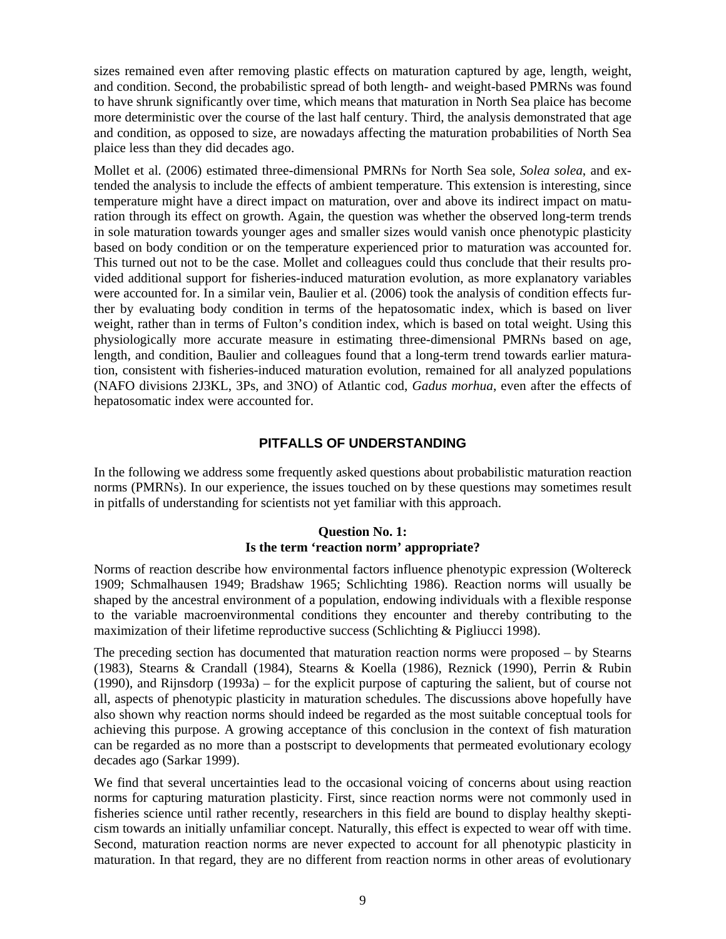sizes remained even after removing plastic effects on maturation captured by age, length, weight, and condition. Second, the probabilistic spread of both length- and weight-based PMRNs was found to have shrunk significantly over time, which means that maturation in North Sea plaice has become more deterministic over the course of the last half century. Third, the analysis demonstrated that age and condition, as opposed to size, are nowadays affecting the maturation probabilities of North Sea plaice less than they did decades ago.

Mollet et al. (2006) estimated three-dimensional PMRNs for North Sea sole, *Solea solea*, and extended the analysis to include the effects of ambient temperature. This extension is interesting, since temperature might have a direct impact on maturation, over and above its indirect impact on maturation through its effect on growth. Again, the question was whether the observed long-term trends in sole maturation towards younger ages and smaller sizes would vanish once phenotypic plasticity based on body condition or on the temperature experienced prior to maturation was accounted for. This turned out not to be the case. Mollet and colleagues could thus conclude that their results provided additional support for fisheries-induced maturation evolution, as more explanatory variables were accounted for. In a similar vein, Baulier et al. (2006) took the analysis of condition effects further by evaluating body condition in terms of the hepatosomatic index, which is based on liver weight, rather than in terms of Fulton's condition index, which is based on total weight. Using this physiologically more accurate measure in estimating three-dimensional PMRNs based on age, length, and condition, Baulier and colleagues found that a long-term trend towards earlier maturation, consistent with fisheries-induced maturation evolution, remained for all analyzed populations (NAFO divisions 2J3KL, 3Ps, and 3NO) of Atlantic cod, *Gadus morhua*, even after the effects of hepatosomatic index were accounted for.

# **PITFALLS OF UNDERSTANDING**

In the following we address some frequently asked questions about probabilistic maturation reaction norms (PMRNs). In our experience, the issues touched on by these questions may sometimes result in pitfalls of understanding for scientists not yet familiar with this approach.

# **Question No. 1: Is the term 'reaction norm' appropriate?**

Norms of reaction describe how environmental factors influence phenotypic expression (Woltereck 1909; Schmalhausen 1949; Bradshaw 1965; Schlichting 1986). Reaction norms will usually be shaped by the ancestral environment of a population, endowing individuals with a flexible response to the variable macroenvironmental conditions they encounter and thereby contributing to the maximization of their lifetime reproductive success (Schlichting & Pigliucci 1998).

The preceding section has documented that maturation reaction norms were proposed – by Stearns (1983), Stearns & Crandall (1984), Stearns & Koella (1986), Reznick (1990), Perrin & Rubin (1990), and Rijnsdorp (1993a) – for the explicit purpose of capturing the salient, but of course not all, aspects of phenotypic plasticity in maturation schedules. The discussions above hopefully have also shown why reaction norms should indeed be regarded as the most suitable conceptual tools for achieving this purpose. A growing acceptance of this conclusion in the context of fish maturation can be regarded as no more than a postscript to developments that permeated evolutionary ecology decades ago (Sarkar 1999).

We find that several uncertainties lead to the occasional voicing of concerns about using reaction norms for capturing maturation plasticity. First, since reaction norms were not commonly used in fisheries science until rather recently, researchers in this field are bound to display healthy skepticism towards an initially unfamiliar concept. Naturally, this effect is expected to wear off with time. Second, maturation reaction norms are never expected to account for all phenotypic plasticity in maturation. In that regard, they are no different from reaction norms in other areas of evolutionary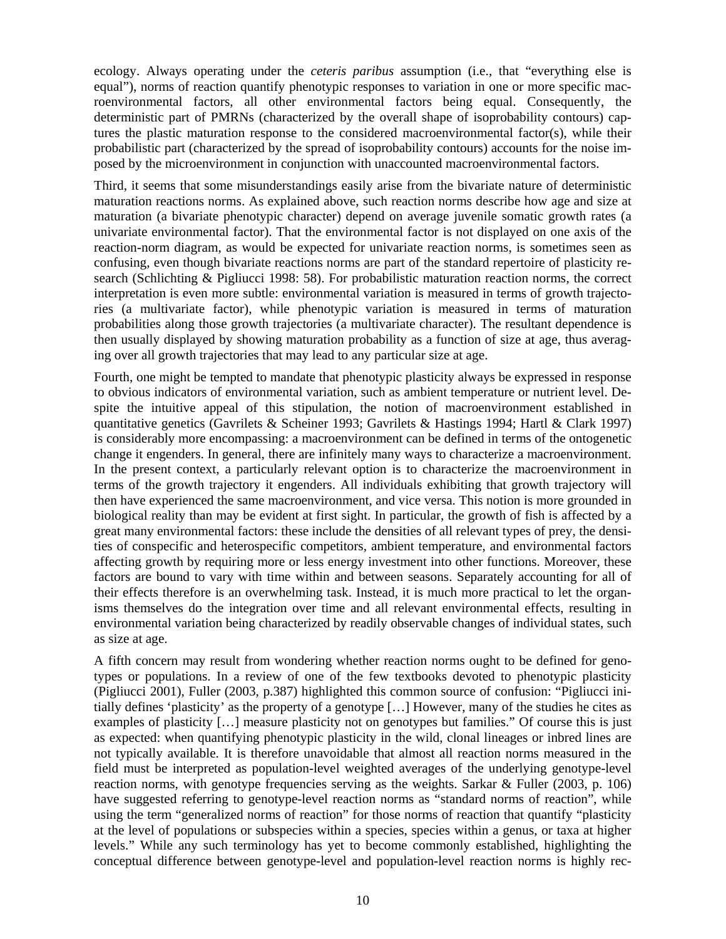ecology. Always operating under the *ceteris paribus* assumption (i.e., that "everything else is equal"), norms of reaction quantify phenotypic responses to variation in one or more specific macroenvironmental factors, all other environmental factors being equal. Consequently, the deterministic part of PMRNs (characterized by the overall shape of isoprobability contours) captures the plastic maturation response to the considered macroenvironmental factor(s), while their probabilistic part (characterized by the spread of isoprobability contours) accounts for the noise imposed by the microenvironment in conjunction with unaccounted macroenvironmental factors.

Third, it seems that some misunderstandings easily arise from the bivariate nature of deterministic maturation reactions norms. As explained above, such reaction norms describe how age and size at maturation (a bivariate phenotypic character) depend on average juvenile somatic growth rates (a univariate environmental factor). That the environmental factor is not displayed on one axis of the reaction-norm diagram, as would be expected for univariate reaction norms, is sometimes seen as confusing, even though bivariate reactions norms are part of the standard repertoire of plasticity research (Schlichting & Pigliucci 1998: 58). For probabilistic maturation reaction norms, the correct interpretation is even more subtle: environmental variation is measured in terms of growth trajectories (a multivariate factor), while phenotypic variation is measured in terms of maturation probabilities along those growth trajectories (a multivariate character). The resultant dependence is then usually displayed by showing maturation probability as a function of size at age, thus averaging over all growth trajectories that may lead to any particular size at age.

Fourth, one might be tempted to mandate that phenotypic plasticity always be expressed in response to obvious indicators of environmental variation, such as ambient temperature or nutrient level. Despite the intuitive appeal of this stipulation, the notion of macroenvironment established in quantitative genetics (Gavrilets & Scheiner 1993; Gavrilets & Hastings 1994; Hartl & Clark 1997) is considerably more encompassing: a macroenvironment can be defined in terms of the ontogenetic change it engenders. In general, there are infinitely many ways to characterize a macroenvironment. In the present context, a particularly relevant option is to characterize the macroenvironment in terms of the growth trajectory it engenders. All individuals exhibiting that growth trajectory will then have experienced the same macroenvironment, and vice versa. This notion is more grounded in biological reality than may be evident at first sight. In particular, the growth of fish is affected by a great many environmental factors: these include the densities of all relevant types of prey, the densities of conspecific and heterospecific competitors, ambient temperature, and environmental factors affecting growth by requiring more or less energy investment into other functions. Moreover, these factors are bound to vary with time within and between seasons. Separately accounting for all of their effects therefore is an overwhelming task. Instead, it is much more practical to let the organisms themselves do the integration over time and all relevant environmental effects, resulting in environmental variation being characterized by readily observable changes of individual states, such as size at age.

A fifth concern may result from wondering whether reaction norms ought to be defined for genotypes or populations. In a review of one of the few textbooks devoted to phenotypic plasticity (Pigliucci 2001), Fuller (2003, p.387) highlighted this common source of confusion: "Pigliucci initially defines 'plasticity' as the property of a genotype […] However, many of the studies he cites as examples of plasticity […] measure plasticity not on genotypes but families." Of course this is just as expected: when quantifying phenotypic plasticity in the wild, clonal lineages or inbred lines are not typically available. It is therefore unavoidable that almost all reaction norms measured in the field must be interpreted as population-level weighted averages of the underlying genotype-level reaction norms, with genotype frequencies serving as the weights. Sarkar & Fuller (2003, p. 106) have suggested referring to genotype-level reaction norms as "standard norms of reaction", while using the term "generalized norms of reaction" for those norms of reaction that quantify "plasticity at the level of populations or subspecies within a species, species within a genus, or taxa at higher levels." While any such terminology has yet to become commonly established, highlighting the conceptual difference between genotype-level and population-level reaction norms is highly rec-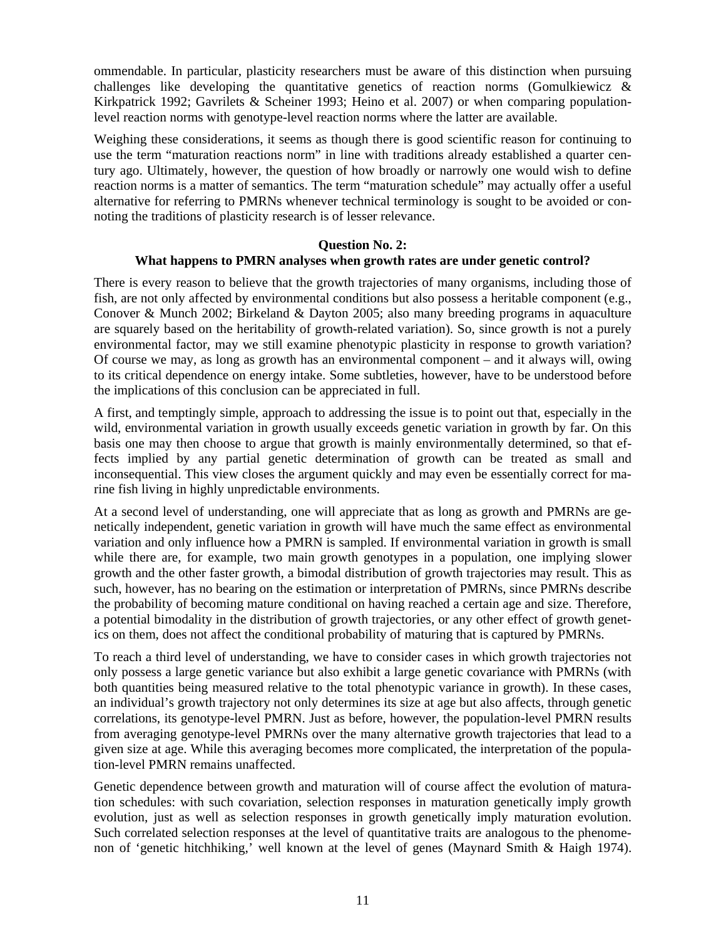ommendable. In particular, plasticity researchers must be aware of this distinction when pursuing challenges like developing the quantitative genetics of reaction norms (Gomulkiewicz  $\&$ Kirkpatrick 1992; Gavrilets & Scheiner 1993; Heino et al. 2007) or when comparing populationlevel reaction norms with genotype-level reaction norms where the latter are available.

Weighing these considerations, it seems as though there is good scientific reason for continuing to use the term "maturation reactions norm" in line with traditions already established a quarter century ago. Ultimately, however, the question of how broadly or narrowly one would wish to define reaction norms is a matter of semantics. The term "maturation schedule" may actually offer a useful alternative for referring to PMRNs whenever technical terminology is sought to be avoided or connoting the traditions of plasticity research is of lesser relevance.

#### **Question No. 2:**

# **What happens to PMRN analyses when growth rates are under genetic control?**

There is every reason to believe that the growth trajectories of many organisms, including those of fish, are not only affected by environmental conditions but also possess a heritable component (e.g., Conover & Munch 2002; Birkeland & Dayton 2005; also many breeding programs in aquaculture are squarely based on the heritability of growth-related variation). So, since growth is not a purely environmental factor, may we still examine phenotypic plasticity in response to growth variation? Of course we may, as long as growth has an environmental component – and it always will, owing to its critical dependence on energy intake. Some subtleties, however, have to be understood before the implications of this conclusion can be appreciated in full.

A first, and temptingly simple, approach to addressing the issue is to point out that, especially in the wild, environmental variation in growth usually exceeds genetic variation in growth by far. On this basis one may then choose to argue that growth is mainly environmentally determined, so that effects implied by any partial genetic determination of growth can be treated as small and inconsequential. This view closes the argument quickly and may even be essentially correct for marine fish living in highly unpredictable environments.

At a second level of understanding, one will appreciate that as long as growth and PMRNs are genetically independent, genetic variation in growth will have much the same effect as environmental variation and only influence how a PMRN is sampled. If environmental variation in growth is small while there are, for example, two main growth genotypes in a population, one implying slower growth and the other faster growth, a bimodal distribution of growth trajectories may result. This as such, however, has no bearing on the estimation or interpretation of PMRNs, since PMRNs describe the probability of becoming mature conditional on having reached a certain age and size. Therefore, a potential bimodality in the distribution of growth trajectories, or any other effect of growth genetics on them, does not affect the conditional probability of maturing that is captured by PMRNs.

To reach a third level of understanding, we have to consider cases in which growth trajectories not only possess a large genetic variance but also exhibit a large genetic covariance with PMRNs (with both quantities being measured relative to the total phenotypic variance in growth). In these cases, an individual's growth trajectory not only determines its size at age but also affects, through genetic correlations, its genotype-level PMRN. Just as before, however, the population-level PMRN results from averaging genotype-level PMRNs over the many alternative growth trajectories that lead to a given size at age. While this averaging becomes more complicated, the interpretation of the population-level PMRN remains unaffected.

Genetic dependence between growth and maturation will of course affect the evolution of maturation schedules: with such covariation, selection responses in maturation genetically imply growth evolution, just as well as selection responses in growth genetically imply maturation evolution. Such correlated selection responses at the level of quantitative traits are analogous to the phenomenon of 'genetic hitchhiking,' well known at the level of genes (Maynard Smith & Haigh 1974).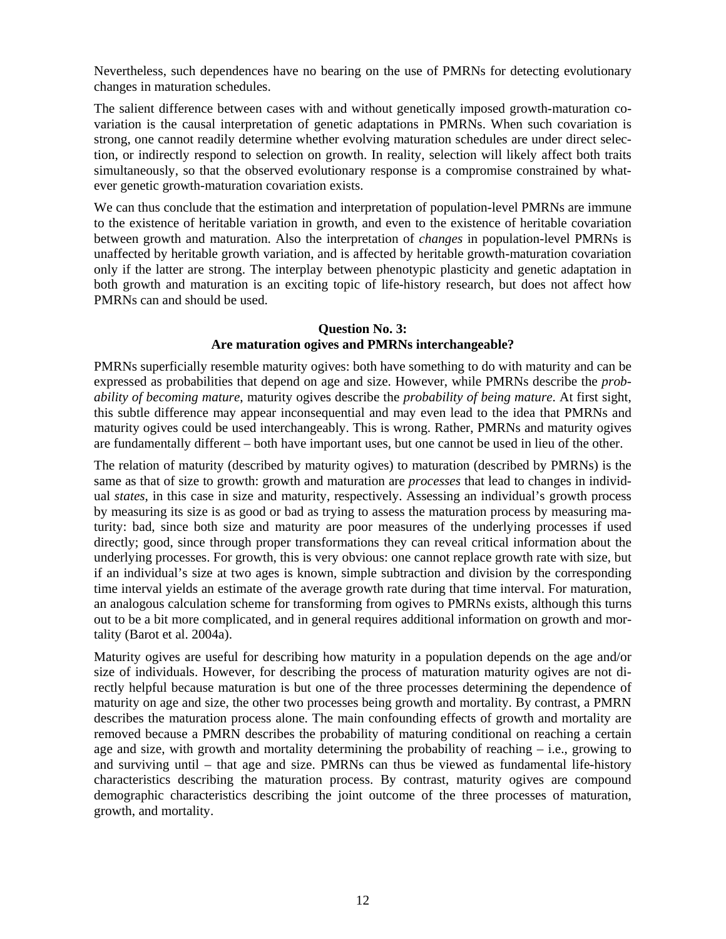Nevertheless, such dependences have no bearing on the use of PMRNs for detecting evolutionary changes in maturation schedules.

The salient difference between cases with and without genetically imposed growth-maturation covariation is the causal interpretation of genetic adaptations in PMRNs. When such covariation is strong, one cannot readily determine whether evolving maturation schedules are under direct selection, or indirectly respond to selection on growth. In reality, selection will likely affect both traits simultaneously, so that the observed evolutionary response is a compromise constrained by whatever genetic growth-maturation covariation exists.

We can thus conclude that the estimation and interpretation of population-level PMRNs are immune to the existence of heritable variation in growth, and even to the existence of heritable covariation between growth and maturation. Also the interpretation of *changes* in population-level PMRNs is unaffected by heritable growth variation, and is affected by heritable growth-maturation covariation only if the latter are strong. The interplay between phenotypic plasticity and genetic adaptation in both growth and maturation is an exciting topic of life-history research, but does not affect how PMRNs can and should be used.

#### **Question No. 3: Are maturation ogives and PMRNs interchangeable?**

PMRNs superficially resemble maturity ogives: both have something to do with maturity and can be expressed as probabilities that depend on age and size. However, while PMRNs describe the *probability of becoming mature*, maturity ogives describe the *probability of being mature*. At first sight, this subtle difference may appear inconsequential and may even lead to the idea that PMRNs and maturity ogives could be used interchangeably. This is wrong. Rather, PMRNs and maturity ogives are fundamentally different – both have important uses, but one cannot be used in lieu of the other.

The relation of maturity (described by maturity ogives) to maturation (described by PMRNs) is the same as that of size to growth: growth and maturation are *processes* that lead to changes in individual *states*, in this case in size and maturity, respectively. Assessing an individual's growth process by measuring its size is as good or bad as trying to assess the maturation process by measuring maturity: bad, since both size and maturity are poor measures of the underlying processes if used directly; good, since through proper transformations they can reveal critical information about the underlying processes. For growth, this is very obvious: one cannot replace growth rate with size, but if an individual's size at two ages is known, simple subtraction and division by the corresponding time interval yields an estimate of the average growth rate during that time interval. For maturation, an analogous calculation scheme for transforming from ogives to PMRNs exists, although this turns out to be a bit more complicated, and in general requires additional information on growth and mortality (Barot et al. 2004a).

Maturity ogives are useful for describing how maturity in a population depends on the age and/or size of individuals. However, for describing the process of maturation maturity ogives are not directly helpful because maturation is but one of the three processes determining the dependence of maturity on age and size, the other two processes being growth and mortality. By contrast, a PMRN describes the maturation process alone. The main confounding effects of growth and mortality are removed because a PMRN describes the probability of maturing conditional on reaching a certain age and size, with growth and mortality determining the probability of reaching – i.e., growing to and surviving until – that age and size. PMRNs can thus be viewed as fundamental life-history characteristics describing the maturation process. By contrast, maturity ogives are compound demographic characteristics describing the joint outcome of the three processes of maturation, growth, and mortality.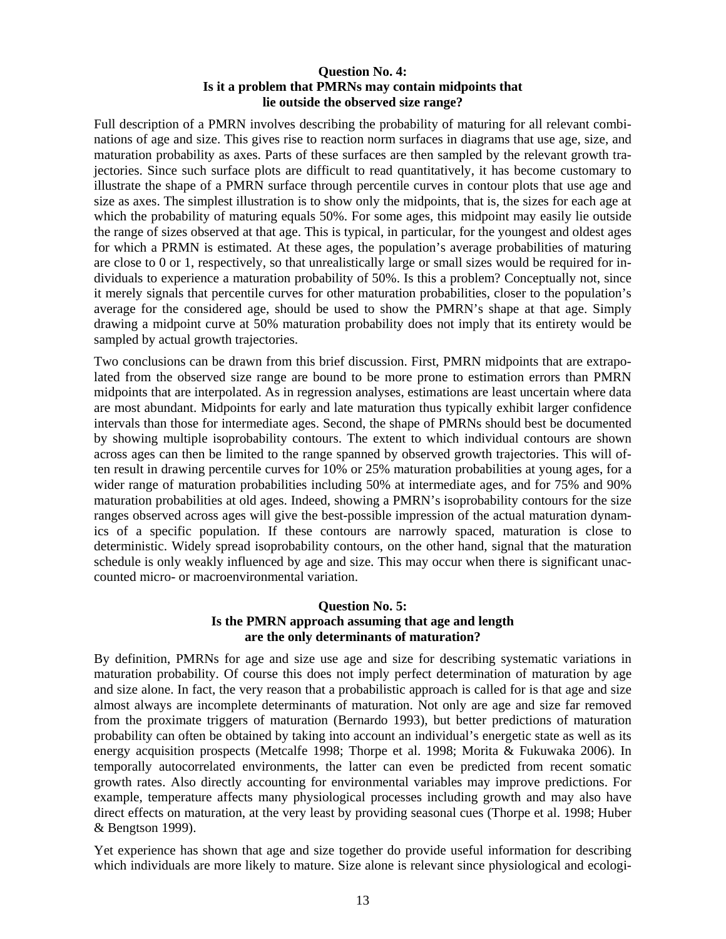# **Question No. 4: Is it a problem that PMRNs may contain midpoints that lie outside the observed size range?**

Full description of a PMRN involves describing the probability of maturing for all relevant combinations of age and size. This gives rise to reaction norm surfaces in diagrams that use age, size, and maturation probability as axes. Parts of these surfaces are then sampled by the relevant growth trajectories. Since such surface plots are difficult to read quantitatively, it has become customary to illustrate the shape of a PMRN surface through percentile curves in contour plots that use age and size as axes. The simplest illustration is to show only the midpoints, that is, the sizes for each age at which the probability of maturing equals 50%. For some ages, this midpoint may easily lie outside the range of sizes observed at that age. This is typical, in particular, for the youngest and oldest ages for which a PRMN is estimated. At these ages, the population's average probabilities of maturing are close to 0 or 1, respectively, so that unrealistically large or small sizes would be required for individuals to experience a maturation probability of 50%. Is this a problem? Conceptually not, since it merely signals that percentile curves for other maturation probabilities, closer to the population's average for the considered age, should be used to show the PMRN's shape at that age. Simply drawing a midpoint curve at 50% maturation probability does not imply that its entirety would be sampled by actual growth trajectories.

Two conclusions can be drawn from this brief discussion. First, PMRN midpoints that are extrapolated from the observed size range are bound to be more prone to estimation errors than PMRN midpoints that are interpolated. As in regression analyses, estimations are least uncertain where data are most abundant. Midpoints for early and late maturation thus typically exhibit larger confidence intervals than those for intermediate ages. Second, the shape of PMRNs should best be documented by showing multiple isoprobability contours. The extent to which individual contours are shown across ages can then be limited to the range spanned by observed growth trajectories. This will often result in drawing percentile curves for 10% or 25% maturation probabilities at young ages, for a wider range of maturation probabilities including 50% at intermediate ages, and for 75% and 90% maturation probabilities at old ages. Indeed, showing a PMRN's isoprobability contours for the size ranges observed across ages will give the best-possible impression of the actual maturation dynamics of a specific population. If these contours are narrowly spaced, maturation is close to deterministic. Widely spread isoprobability contours, on the other hand, signal that the maturation schedule is only weakly influenced by age and size. This may occur when there is significant unaccounted micro- or macroenvironmental variation.

# **Question No. 5: Is the PMRN approach assuming that age and length are the only determinants of maturation?**

By definition, PMRNs for age and size use age and size for describing systematic variations in maturation probability. Of course this does not imply perfect determination of maturation by age and size alone. In fact, the very reason that a probabilistic approach is called for is that age and size almost always are incomplete determinants of maturation. Not only are age and size far removed from the proximate triggers of maturation (Bernardo 1993), but better predictions of maturation probability can often be obtained by taking into account an individual's energetic state as well as its energy acquisition prospects (Metcalfe 1998; Thorpe et al. 1998; Morita & Fukuwaka 2006). In temporally autocorrelated environments, the latter can even be predicted from recent somatic growth rates. Also directly accounting for environmental variables may improve predictions. For example, temperature affects many physiological processes including growth and may also have direct effects on maturation, at the very least by providing seasonal cues (Thorpe et al. 1998; Huber & Bengtson 1999).

Yet experience has shown that age and size together do provide useful information for describing which individuals are more likely to mature. Size alone is relevant since physiological and ecologi-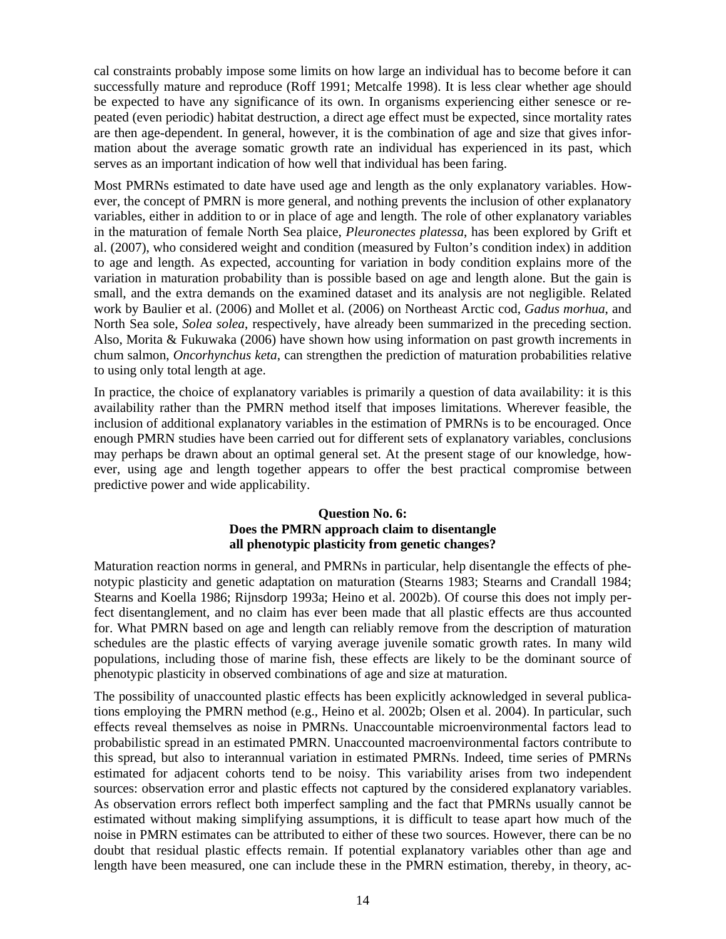cal constraints probably impose some limits on how large an individual has to become before it can successfully mature and reproduce (Roff 1991; Metcalfe 1998). It is less clear whether age should be expected to have any significance of its own. In organisms experiencing either senesce or repeated (even periodic) habitat destruction, a direct age effect must be expected, since mortality rates are then age-dependent. In general, however, it is the combination of age and size that gives information about the average somatic growth rate an individual has experienced in its past, which serves as an important indication of how well that individual has been faring.

Most PMRNs estimated to date have used age and length as the only explanatory variables. However, the concept of PMRN is more general, and nothing prevents the inclusion of other explanatory variables, either in addition to or in place of age and length. The role of other explanatory variables in the maturation of female North Sea plaice, *Pleuronectes platessa*, has been explored by Grift et al. (2007), who considered weight and condition (measured by Fulton's condition index) in addition to age and length. As expected, accounting for variation in body condition explains more of the variation in maturation probability than is possible based on age and length alone. But the gain is small, and the extra demands on the examined dataset and its analysis are not negligible. Related work by Baulier et al. (2006) and Mollet et al. (2006) on Northeast Arctic cod, *Gadus morhua*, and North Sea sole, *Solea solea*, respectively, have already been summarized in the preceding section. Also, Morita & Fukuwaka (2006) have shown how using information on past growth increments in chum salmon, *Oncorhynchus keta*, can strengthen the prediction of maturation probabilities relative to using only total length at age.

In practice, the choice of explanatory variables is primarily a question of data availability: it is this availability rather than the PMRN method itself that imposes limitations. Wherever feasible, the inclusion of additional explanatory variables in the estimation of PMRNs is to be encouraged. Once enough PMRN studies have been carried out for different sets of explanatory variables, conclusions may perhaps be drawn about an optimal general set. At the present stage of our knowledge, however, using age and length together appears to offer the best practical compromise between predictive power and wide applicability.

# **Question No. 6: Does the PMRN approach claim to disentangle all phenotypic plasticity from genetic changes?**

Maturation reaction norms in general, and PMRNs in particular, help disentangle the effects of phenotypic plasticity and genetic adaptation on maturation (Stearns 1983; Stearns and Crandall 1984; Stearns and Koella 1986; Rijnsdorp 1993a; Heino et al. 2002b). Of course this does not imply perfect disentanglement, and no claim has ever been made that all plastic effects are thus accounted for. What PMRN based on age and length can reliably remove from the description of maturation schedules are the plastic effects of varying average juvenile somatic growth rates. In many wild populations, including those of marine fish, these effects are likely to be the dominant source of phenotypic plasticity in observed combinations of age and size at maturation.

The possibility of unaccounted plastic effects has been explicitly acknowledged in several publications employing the PMRN method (e.g., Heino et al. 2002b; Olsen et al. 2004). In particular, such effects reveal themselves as noise in PMRNs. Unaccountable microenvironmental factors lead to probabilistic spread in an estimated PMRN. Unaccounted macroenvironmental factors contribute to this spread, but also to interannual variation in estimated PMRNs. Indeed, time series of PMRNs estimated for adjacent cohorts tend to be noisy. This variability arises from two independent sources: observation error and plastic effects not captured by the considered explanatory variables. As observation errors reflect both imperfect sampling and the fact that PMRNs usually cannot be estimated without making simplifying assumptions, it is difficult to tease apart how much of the noise in PMRN estimates can be attributed to either of these two sources. However, there can be no doubt that residual plastic effects remain. If potential explanatory variables other than age and length have been measured, one can include these in the PMRN estimation, thereby, in theory, ac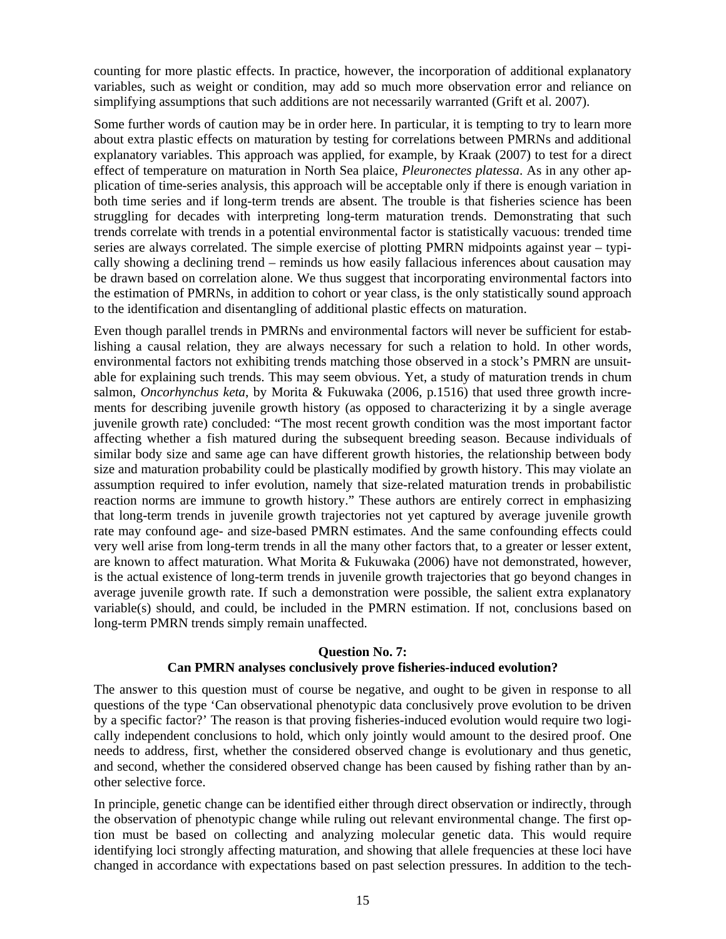counting for more plastic effects. In practice, however, the incorporation of additional explanatory variables, such as weight or condition, may add so much more observation error and reliance on simplifying assumptions that such additions are not necessarily warranted (Grift et al. 2007).

Some further words of caution may be in order here. In particular, it is tempting to try to learn more about extra plastic effects on maturation by testing for correlations between PMRNs and additional explanatory variables. This approach was applied, for example, by Kraak (2007) to test for a direct effect of temperature on maturation in North Sea plaice, *Pleuronectes platessa*. As in any other application of time-series analysis, this approach will be acceptable only if there is enough variation in both time series and if long-term trends are absent. The trouble is that fisheries science has been struggling for decades with interpreting long-term maturation trends. Demonstrating that such trends correlate with trends in a potential environmental factor is statistically vacuous: trended time series are always correlated. The simple exercise of plotting PMRN midpoints against year – typically showing a declining trend – reminds us how easily fallacious inferences about causation may be drawn based on correlation alone. We thus suggest that incorporating environmental factors into the estimation of PMRNs, in addition to cohort or year class, is the only statistically sound approach to the identification and disentangling of additional plastic effects on maturation.

Even though parallel trends in PMRNs and environmental factors will never be sufficient for establishing a causal relation, they are always necessary for such a relation to hold. In other words, environmental factors not exhibiting trends matching those observed in a stock's PMRN are unsuitable for explaining such trends. This may seem obvious. Yet, a study of maturation trends in chum salmon, *Oncorhynchus keta*, by Morita & Fukuwaka (2006, p.1516) that used three growth increments for describing juvenile growth history (as opposed to characterizing it by a single average juvenile growth rate) concluded: "The most recent growth condition was the most important factor affecting whether a fish matured during the subsequent breeding season. Because individuals of similar body size and same age can have different growth histories, the relationship between body size and maturation probability could be plastically modified by growth history. This may violate an assumption required to infer evolution, namely that size-related maturation trends in probabilistic reaction norms are immune to growth history." These authors are entirely correct in emphasizing that long-term trends in juvenile growth trajectories not yet captured by average juvenile growth rate may confound age- and size-based PMRN estimates. And the same confounding effects could very well arise from long-term trends in all the many other factors that, to a greater or lesser extent, are known to affect maturation. What Morita & Fukuwaka (2006) have not demonstrated, however, is the actual existence of long-term trends in juvenile growth trajectories that go beyond changes in average juvenile growth rate. If such a demonstration were possible, the salient extra explanatory variable(s) should, and could, be included in the PMRN estimation. If not, conclusions based on long-term PMRN trends simply remain unaffected.

#### **Question No. 7:**

#### **Can PMRN analyses conclusively prove fisheries-induced evolution?**

The answer to this question must of course be negative, and ought to be given in response to all questions of the type 'Can observational phenotypic data conclusively prove evolution to be driven by a specific factor?' The reason is that proving fisheries-induced evolution would require two logically independent conclusions to hold, which only jointly would amount to the desired proof. One needs to address, first, whether the considered observed change is evolutionary and thus genetic, and second, whether the considered observed change has been caused by fishing rather than by another selective force.

In principle, genetic change can be identified either through direct observation or indirectly, through the observation of phenotypic change while ruling out relevant environmental change. The first option must be based on collecting and analyzing molecular genetic data. This would require identifying loci strongly affecting maturation, and showing that allele frequencies at these loci have changed in accordance with expectations based on past selection pressures. In addition to the tech-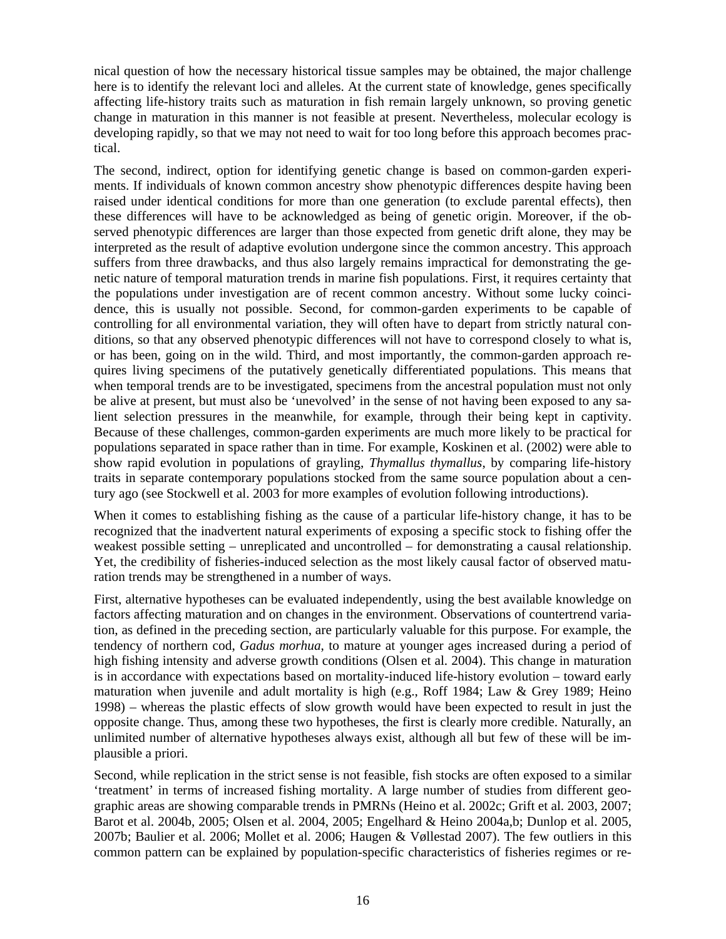nical question of how the necessary historical tissue samples may be obtained, the major challenge here is to identify the relevant loci and alleles. At the current state of knowledge, genes specifically affecting life-history traits such as maturation in fish remain largely unknown, so proving genetic change in maturation in this manner is not feasible at present. Nevertheless, molecular ecology is developing rapidly, so that we may not need to wait for too long before this approach becomes practical.

The second, indirect, option for identifying genetic change is based on common-garden experiments. If individuals of known common ancestry show phenotypic differences despite having been raised under identical conditions for more than one generation (to exclude parental effects), then these differences will have to be acknowledged as being of genetic origin. Moreover, if the observed phenotypic differences are larger than those expected from genetic drift alone, they may be interpreted as the result of adaptive evolution undergone since the common ancestry. This approach suffers from three drawbacks, and thus also largely remains impractical for demonstrating the genetic nature of temporal maturation trends in marine fish populations. First, it requires certainty that the populations under investigation are of recent common ancestry. Without some lucky coincidence, this is usually not possible. Second, for common-garden experiments to be capable of controlling for all environmental variation, they will often have to depart from strictly natural conditions, so that any observed phenotypic differences will not have to correspond closely to what is, or has been, going on in the wild. Third, and most importantly, the common-garden approach requires living specimens of the putatively genetically differentiated populations. This means that when temporal trends are to be investigated, specimens from the ancestral population must not only be alive at present, but must also be 'unevolved' in the sense of not having been exposed to any salient selection pressures in the meanwhile, for example, through their being kept in captivity. Because of these challenges, common-garden experiments are much more likely to be practical for populations separated in space rather than in time. For example, Koskinen et al. (2002) were able to show rapid evolution in populations of grayling, *Thymallus thymallus*, by comparing life-history traits in separate contemporary populations stocked from the same source population about a century ago (see Stockwell et al. 2003 for more examples of evolution following introductions).

When it comes to establishing fishing as the cause of a particular life-history change, it has to be recognized that the inadvertent natural experiments of exposing a specific stock to fishing offer the weakest possible setting – unreplicated and uncontrolled – for demonstrating a causal relationship. Yet, the credibility of fisheries-induced selection as the most likely causal factor of observed maturation trends may be strengthened in a number of ways.

First, alternative hypotheses can be evaluated independently, using the best available knowledge on factors affecting maturation and on changes in the environment. Observations of countertrend variation, as defined in the preceding section, are particularly valuable for this purpose. For example, the tendency of northern cod, *Gadus morhua*, to mature at younger ages increased during a period of high fishing intensity and adverse growth conditions (Olsen et al. 2004). This change in maturation is in accordance with expectations based on mortality-induced life-history evolution – toward early maturation when juvenile and adult mortality is high (e.g., Roff 1984; Law & Grey 1989; Heino 1998) – whereas the plastic effects of slow growth would have been expected to result in just the opposite change. Thus, among these two hypotheses, the first is clearly more credible. Naturally, an unlimited number of alternative hypotheses always exist, although all but few of these will be implausible a priori.

Second, while replication in the strict sense is not feasible, fish stocks are often exposed to a similar 'treatment' in terms of increased fishing mortality. A large number of studies from different geographic areas are showing comparable trends in PMRNs (Heino et al. 2002c; Grift et al. 2003, 2007; Barot et al. 2004b, 2005; Olsen et al. 2004, 2005; Engelhard & Heino 2004a,b; Dunlop et al. 2005, 2007b; Baulier et al. 2006; Mollet et al. 2006; Haugen & Vøllestad 2007). The few outliers in this common pattern can be explained by population-specific characteristics of fisheries regimes or re-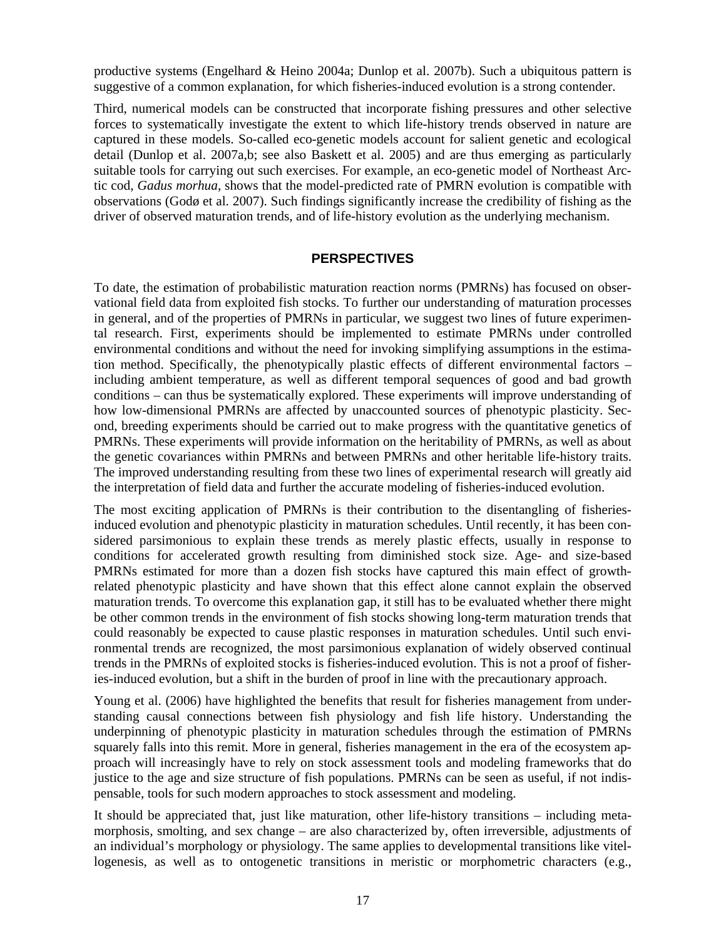productive systems (Engelhard & Heino 2004a; Dunlop et al. 2007b). Such a ubiquitous pattern is suggestive of a common explanation, for which fisheries-induced evolution is a strong contender.

Third, numerical models can be constructed that incorporate fishing pressures and other selective forces to systematically investigate the extent to which life-history trends observed in nature are captured in these models. So-called eco-genetic models account for salient genetic and ecological detail (Dunlop et al. 2007a,b; see also Baskett et al. 2005) and are thus emerging as particularly suitable tools for carrying out such exercises. For example, an eco-genetic model of Northeast Arctic cod, *Gadus morhua*, shows that the model-predicted rate of PMRN evolution is compatible with observations (Godø et al. 2007). Such findings significantly increase the credibility of fishing as the driver of observed maturation trends, and of life-history evolution as the underlying mechanism.

#### **PERSPECTIVES**

To date, the estimation of probabilistic maturation reaction norms (PMRNs) has focused on observational field data from exploited fish stocks. To further our understanding of maturation processes in general, and of the properties of PMRNs in particular, we suggest two lines of future experimental research. First, experiments should be implemented to estimate PMRNs under controlled environmental conditions and without the need for invoking simplifying assumptions in the estimation method. Specifically, the phenotypically plastic effects of different environmental factors – including ambient temperature, as well as different temporal sequences of good and bad growth conditions – can thus be systematically explored. These experiments will improve understanding of how low-dimensional PMRNs are affected by unaccounted sources of phenotypic plasticity. Second, breeding experiments should be carried out to make progress with the quantitative genetics of PMRNs. These experiments will provide information on the heritability of PMRNs, as well as about the genetic covariances within PMRNs and between PMRNs and other heritable life-history traits. The improved understanding resulting from these two lines of experimental research will greatly aid the interpretation of field data and further the accurate modeling of fisheries-induced evolution.

The most exciting application of PMRNs is their contribution to the disentangling of fisheriesinduced evolution and phenotypic plasticity in maturation schedules. Until recently, it has been considered parsimonious to explain these trends as merely plastic effects, usually in response to conditions for accelerated growth resulting from diminished stock size. Age- and size-based PMRNs estimated for more than a dozen fish stocks have captured this main effect of growthrelated phenotypic plasticity and have shown that this effect alone cannot explain the observed maturation trends. To overcome this explanation gap, it still has to be evaluated whether there might be other common trends in the environment of fish stocks showing long-term maturation trends that could reasonably be expected to cause plastic responses in maturation schedules. Until such environmental trends are recognized, the most parsimonious explanation of widely observed continual trends in the PMRNs of exploited stocks is fisheries-induced evolution. This is not a proof of fisheries-induced evolution, but a shift in the burden of proof in line with the precautionary approach.

Young et al. (2006) have highlighted the benefits that result for fisheries management from understanding causal connections between fish physiology and fish life history. Understanding the underpinning of phenotypic plasticity in maturation schedules through the estimation of PMRNs squarely falls into this remit. More in general, fisheries management in the era of the ecosystem approach will increasingly have to rely on stock assessment tools and modeling frameworks that do justice to the age and size structure of fish populations. PMRNs can be seen as useful, if not indispensable, tools for such modern approaches to stock assessment and modeling.

It should be appreciated that, just like maturation, other life-history transitions – including metamorphosis, smolting, and sex change – are also characterized by, often irreversible, adjustments of an individual's morphology or physiology. The same applies to developmental transitions like vitellogenesis, as well as to ontogenetic transitions in meristic or morphometric characters (e.g.,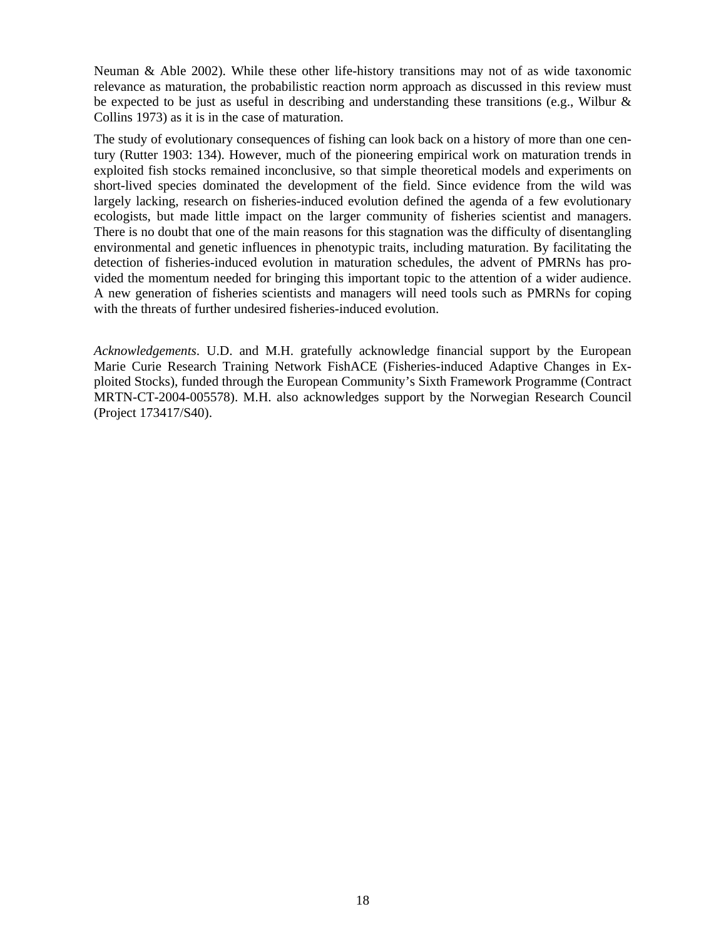Neuman & Able 2002). While these other life-history transitions may not of as wide taxonomic relevance as maturation, the probabilistic reaction norm approach as discussed in this review must be expected to be just as useful in describing and understanding these transitions (e.g., Wilbur & Collins 1973) as it is in the case of maturation.

The study of evolutionary consequences of fishing can look back on a history of more than one century (Rutter 1903: 134). However, much of the pioneering empirical work on maturation trends in exploited fish stocks remained inconclusive, so that simple theoretical models and experiments on short-lived species dominated the development of the field. Since evidence from the wild was largely lacking, research on fisheries-induced evolution defined the agenda of a few evolutionary ecologists, but made little impact on the larger community of fisheries scientist and managers. There is no doubt that one of the main reasons for this stagnation was the difficulty of disentangling environmental and genetic influences in phenotypic traits, including maturation. By facilitating the detection of fisheries-induced evolution in maturation schedules, the advent of PMRNs has provided the momentum needed for bringing this important topic to the attention of a wider audience. A new generation of fisheries scientists and managers will need tools such as PMRNs for coping with the threats of further undesired fisheries-induced evolution.

*Acknowledgements*. U.D. and M.H. gratefully acknowledge financial support by the European Marie Curie Research Training Network FishACE (Fisheries-induced Adaptive Changes in Exploited Stocks), funded through the European Community's Sixth Framework Programme (Contract MRTN-CT-2004-005578). M.H. also acknowledges support by the Norwegian Research Council (Project 173417/S40).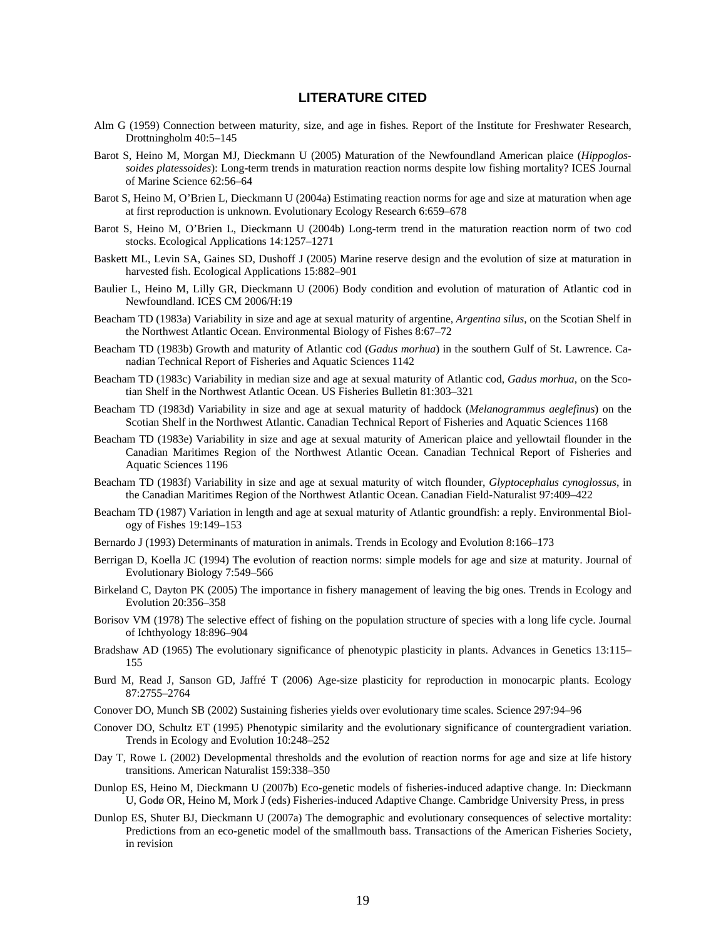#### **LITERATURE CITED**

- Alm G (1959) Connection between maturity, size, and age in fishes. Report of the Institute for Freshwater Research, Drottningholm 40:5–145
- Barot S, Heino M, Morgan MJ, Dieckmann U (2005) Maturation of the Newfoundland American plaice (*Hippoglossoides platessoides*): Long-term trends in maturation reaction norms despite low fishing mortality? ICES Journal of Marine Science 62:56–64
- Barot S, Heino M, O'Brien L, Dieckmann U (2004a) Estimating reaction norms for age and size at maturation when age at first reproduction is unknown. Evolutionary Ecology Research 6:659–678
- Barot S, Heino M, O'Brien L, Dieckmann U (2004b) Long-term trend in the maturation reaction norm of two cod stocks. Ecological Applications 14:1257–1271
- Baskett ML, Levin SA, Gaines SD, Dushoff J (2005) Marine reserve design and the evolution of size at maturation in harvested fish. Ecological Applications 15:882–901
- Baulier L, Heino M, Lilly GR, Dieckmann U (2006) Body condition and evolution of maturation of Atlantic cod in Newfoundland. ICES CM 2006/H:19
- Beacham TD (1983a) Variability in size and age at sexual maturity of argentine, *Argentina silus*, on the Scotian Shelf in the Northwest Atlantic Ocean. Environmental Biology of Fishes 8:67–72
- Beacham TD (1983b) Growth and maturity of Atlantic cod (*Gadus morhua*) in the southern Gulf of St. Lawrence. Canadian Technical Report of Fisheries and Aquatic Sciences 1142
- Beacham TD (1983c) Variability in median size and age at sexual maturity of Atlantic cod, *Gadus morhua*, on the Scotian Shelf in the Northwest Atlantic Ocean. US Fisheries Bulletin 81:303–321
- Beacham TD (1983d) Variability in size and age at sexual maturity of haddock (*Melanogrammus aeglefinus*) on the Scotian Shelf in the Northwest Atlantic. Canadian Technical Report of Fisheries and Aquatic Sciences 1168
- Beacham TD (1983e) Variability in size and age at sexual maturity of American plaice and yellowtail flounder in the Canadian Maritimes Region of the Northwest Atlantic Ocean. Canadian Technical Report of Fisheries and Aquatic Sciences 1196
- Beacham TD (1983f) Variability in size and age at sexual maturity of witch flounder, *Glyptocephalus cynoglossus*, in the Canadian Maritimes Region of the Northwest Atlantic Ocean. Canadian Field-Naturalist 97:409–422
- Beacham TD (1987) Variation in length and age at sexual maturity of Atlantic groundfish: a reply. Environmental Biology of Fishes 19:149–153
- Bernardo J (1993) Determinants of maturation in animals. Trends in Ecology and Evolution 8:166–173
- Berrigan D, Koella JC (1994) The evolution of reaction norms: simple models for age and size at maturity. Journal of Evolutionary Biology 7:549–566
- Birkeland C, Dayton PK (2005) The importance in fishery management of leaving the big ones. Trends in Ecology and Evolution 20:356–358
- Borisov VM (1978) The selective effect of fishing on the population structure of species with a long life cycle. Journal of Ichthyology 18:896–904
- Bradshaw AD (1965) The evolutionary significance of phenotypic plasticity in plants. Advances in Genetics 13:115– 155
- Burd M, Read J, Sanson GD, Jaffré T (2006) Age-size plasticity for reproduction in monocarpic plants. Ecology 87:2755–2764
- Conover DO, Munch SB (2002) Sustaining fisheries yields over evolutionary time scales. Science 297:94–96
- Conover DO, Schultz ET (1995) Phenotypic similarity and the evolutionary significance of countergradient variation. Trends in Ecology and Evolution 10:248–252
- Day T, Rowe L (2002) Developmental thresholds and the evolution of reaction norms for age and size at life history transitions. American Naturalist 159:338–350
- Dunlop ES, Heino M, Dieckmann U (2007b) Eco-genetic models of fisheries-induced adaptive change. In: Dieckmann U, Godø OR, Heino M, Mork J (eds) Fisheries-induced Adaptive Change. Cambridge University Press, in press
- Dunlop ES, Shuter BJ, Dieckmann U (2007a) The demographic and evolutionary consequences of selective mortality: Predictions from an eco-genetic model of the smallmouth bass. Transactions of the American Fisheries Society, in revision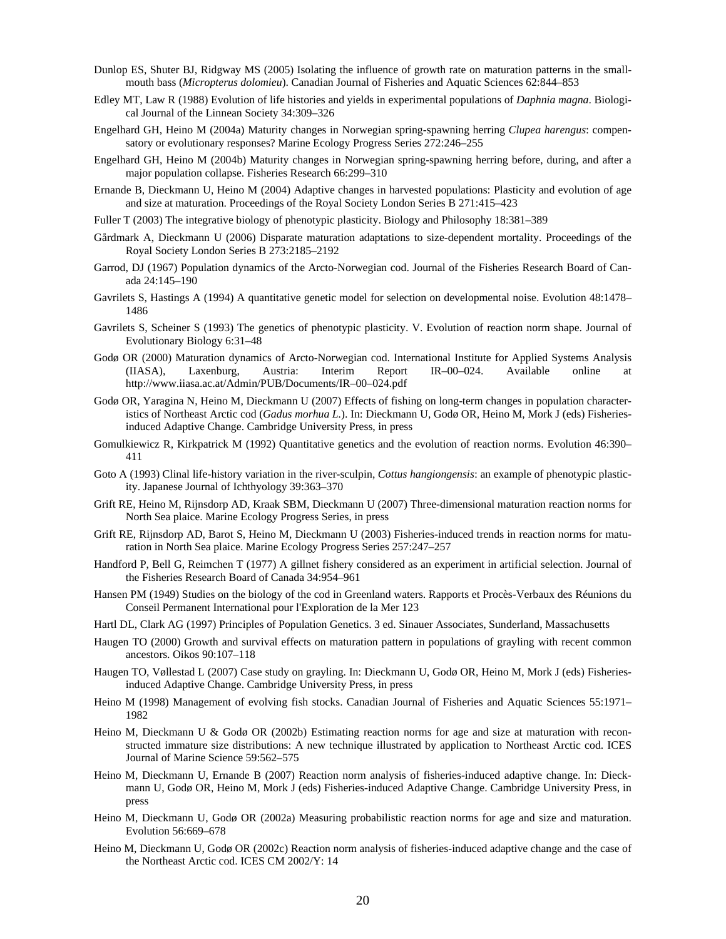- Dunlop ES, Shuter BJ, Ridgway MS (2005) Isolating the influence of growth rate on maturation patterns in the smallmouth bass (*Micropterus dolomieu*). Canadian Journal of Fisheries and Aquatic Sciences 62:844–853
- Edley MT, Law R (1988) Evolution of life histories and yields in experimental populations of *Daphnia magna*. Biological Journal of the Linnean Society 34:309–326
- Engelhard GH, Heino M (2004a) Maturity changes in Norwegian spring-spawning herring *Clupea harengus*: compensatory or evolutionary responses? Marine Ecology Progress Series 272:246–255
- Engelhard GH, Heino M (2004b) Maturity changes in Norwegian spring-spawning herring before, during, and after a major population collapse. Fisheries Research 66:299–310
- Ernande B, Dieckmann U, Heino M (2004) Adaptive changes in harvested populations: Plasticity and evolution of age and size at maturation. Proceedings of the Royal Society London Series B 271:415–423
- Fuller T (2003) The integrative biology of phenotypic plasticity. Biology and Philosophy 18:381–389
- Gårdmark A, Dieckmann U (2006) Disparate maturation adaptations to size-dependent mortality. Proceedings of the Royal Society London Series B 273:2185–2192
- Garrod, DJ (1967) Population dynamics of the Arcto-Norwegian cod. Journal of the Fisheries Research Board of Canada 24:145–190
- Gavrilets S, Hastings A (1994) A quantitative genetic model for selection on developmental noise. Evolution 48:1478– 1486
- Gavrilets S, Scheiner S (1993) The genetics of phenotypic plasticity. V. Evolution of reaction norm shape. Journal of Evolutionary Biology 6:31–48
- Godø OR (2000) Maturation dynamics of Arcto-Norwegian cod. International Institute for Applied Systems Analysis (IIASA), Laxenburg, Austria: Interim Report IR–00–024. Available online at http://www.iiasa.ac.at/Admin/PUB/Documents/IR–00–024.pdf
- Godø OR, Yaragina N, Heino M, Dieckmann U (2007) Effects of fishing on long-term changes in population characteristics of Northeast Arctic cod (*Gadus morhua L.*). In: Dieckmann U, Godø OR, Heino M, Mork J (eds) Fisheriesinduced Adaptive Change. Cambridge University Press, in press
- Gomulkiewicz R, Kirkpatrick M (1992) Quantitative genetics and the evolution of reaction norms. Evolution 46:390– 411
- Goto A (1993) Clinal life-history variation in the river-sculpin, *Cottus hangiongensis*: an example of phenotypic plasticity. Japanese Journal of Ichthyology 39:363–370
- Grift RE, Heino M, Rijnsdorp AD, Kraak SBM, Dieckmann U (2007) Three-dimensional maturation reaction norms for North Sea plaice. Marine Ecology Progress Series, in press
- Grift RE, Rijnsdorp AD, Barot S, Heino M, Dieckmann U (2003) Fisheries-induced trends in reaction norms for maturation in North Sea plaice. Marine Ecology Progress Series 257:247–257
- Handford P, Bell G, Reimchen T (1977) A gillnet fishery considered as an experiment in artificial selection. Journal of the Fisheries Research Board of Canada 34:954–961
- Hansen PM (1949) Studies on the biology of the cod in Greenland waters. Rapports et Procès-Verbaux des Réunions du Conseil Permanent International pour l'Exploration de la Mer 123
- Hartl DL, Clark AG (1997) Principles of Population Genetics. 3 ed. Sinauer Associates, Sunderland, Massachusetts
- Haugen TO (2000) Growth and survival effects on maturation pattern in populations of grayling with recent common ancestors. Oikos 90:107–118
- Haugen TO, Vøllestad L (2007) Case study on grayling. In: Dieckmann U, Godø OR, Heino M, Mork J (eds) Fisheriesinduced Adaptive Change. Cambridge University Press, in press
- Heino M (1998) Management of evolving fish stocks. Canadian Journal of Fisheries and Aquatic Sciences 55:1971– 1982
- Heino M, Dieckmann U & Godø OR (2002b) Estimating reaction norms for age and size at maturation with reconstructed immature size distributions: A new technique illustrated by application to Northeast Arctic cod. ICES Journal of Marine Science 59:562–575
- Heino M, Dieckmann U, Ernande B (2007) Reaction norm analysis of fisheries-induced adaptive change. In: Dieckmann U, Godø OR, Heino M, Mork J (eds) Fisheries-induced Adaptive Change. Cambridge University Press, in press
- Heino M, Dieckmann U, Godø OR (2002a) Measuring probabilistic reaction norms for age and size and maturation. Evolution 56:669–678
- Heino M, Dieckmann U, Godø OR (2002c) Reaction norm analysis of fisheries-induced adaptive change and the case of the Northeast Arctic cod. ICES CM 2002/Y: 14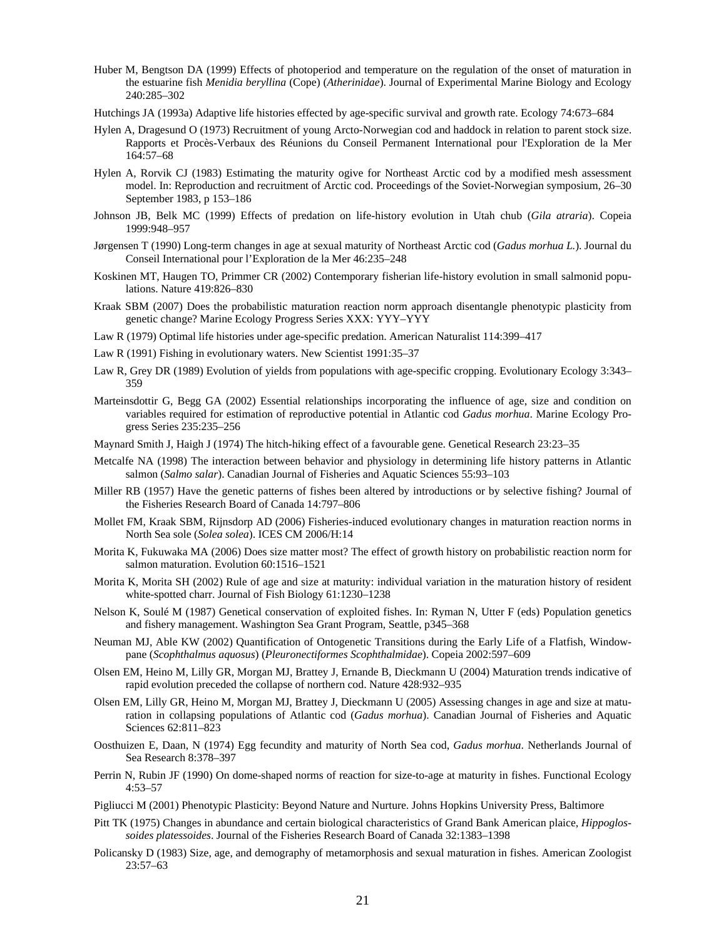- Huber M, Bengtson DA (1999) Effects of photoperiod and temperature on the regulation of the onset of maturation in the estuarine fish *Menidia beryllina* (Cope) (*Atherinidae*). Journal of Experimental Marine Biology and Ecology 240:285–302
- Hutchings JA (1993a) Adaptive life histories effected by age-specific survival and growth rate. Ecology 74:673–684
- Hylen A, Dragesund O (1973) Recruitment of young Arcto-Norwegian cod and haddock in relation to parent stock size. Rapports et Procès-Verbaux des Réunions du Conseil Permanent International pour l'Exploration de la Mer 164:57–68
- Hylen A, Rorvik CJ (1983) Estimating the maturity ogive for Northeast Arctic cod by a modified mesh assessment model. In: Reproduction and recruitment of Arctic cod. Proceedings of the Soviet-Norwegian symposium, 26–30 September 1983, p 153–186
- Johnson JB, Belk MC (1999) Effects of predation on life-history evolution in Utah chub (*Gila atraria*). Copeia 1999:948–957
- Jørgensen T (1990) Long-term changes in age at sexual maturity of Northeast Arctic cod (*Gadus morhua L.*). Journal du Conseil International pour l'Exploration de la Mer 46:235–248
- Koskinen MT, Haugen TO, Primmer CR (2002) Contemporary fisherian life-history evolution in small salmonid populations. Nature 419:826–830
- Kraak SBM (2007) Does the probabilistic maturation reaction norm approach disentangle phenotypic plasticity from genetic change? Marine Ecology Progress Series XXX: YYY–YYY
- Law R (1979) Optimal life histories under age-specific predation. American Naturalist 114:399–417
- Law R (1991) Fishing in evolutionary waters. New Scientist 1991:35–37
- Law R, Grey DR (1989) Evolution of yields from populations with age-specific cropping. Evolutionary Ecology 3:343– 359
- Marteinsdottir G, Begg GA (2002) Essential relationships incorporating the influence of age, size and condition on variables required for estimation of reproductive potential in Atlantic cod *Gadus morhua*. Marine Ecology Progress Series 235:235–256
- Maynard Smith J, Haigh J (1974) The hitch-hiking effect of a favourable gene. Genetical Research 23:23–35
- Metcalfe NA (1998) The interaction between behavior and physiology in determining life history patterns in Atlantic salmon (*Salmo salar*). Canadian Journal of Fisheries and Aquatic Sciences 55:93–103
- Miller RB (1957) Have the genetic patterns of fishes been altered by introductions or by selective fishing? Journal of the Fisheries Research Board of Canada 14:797–806
- Mollet FM, Kraak SBM, Rijnsdorp AD (2006) Fisheries-induced evolutionary changes in maturation reaction norms in North Sea sole (*Solea solea*). ICES CM 2006/H:14
- Morita K, Fukuwaka MA (2006) Does size matter most? The effect of growth history on probabilistic reaction norm for salmon maturation. Evolution 60:1516–1521
- Morita K, Morita SH (2002) Rule of age and size at maturity: individual variation in the maturation history of resident white-spotted charr. Journal of Fish Biology 61:1230–1238
- Nelson K, Soulé M (1987) Genetical conservation of exploited fishes. In: Ryman N, Utter F (eds) Population genetics and fishery management. Washington Sea Grant Program, Seattle, p345–368
- Neuman MJ, Able KW (2002) Quantification of Ontogenetic Transitions during the Early Life of a Flatfish, Windowpane (*Scophthalmus aquosus*) (*Pleuronectiformes Scophthalmidae*). Copeia 2002:597–609
- Olsen EM, Heino M, Lilly GR, Morgan MJ, Brattey J, Ernande B, Dieckmann U (2004) Maturation trends indicative of rapid evolution preceded the collapse of northern cod. Nature 428:932–935
- Olsen EM, Lilly GR, Heino M, Morgan MJ, Brattey J, Dieckmann U (2005) Assessing changes in age and size at maturation in collapsing populations of Atlantic cod (*Gadus morhua*). Canadian Journal of Fisheries and Aquatic Sciences 62:811–823
- Oosthuizen E, Daan, N (1974) Egg fecundity and maturity of North Sea cod, *Gadus morhua*. Netherlands Journal of Sea Research 8:378–397
- Perrin N, Rubin JF (1990) On dome-shaped norms of reaction for size-to-age at maturity in fishes. Functional Ecology 4:53–57
- Pigliucci M (2001) Phenotypic Plasticity: Beyond Nature and Nurture. Johns Hopkins University Press, Baltimore
- Pitt TK (1975) Changes in abundance and certain biological characteristics of Grand Bank American plaice, *Hippoglossoides platessoides*. Journal of the Fisheries Research Board of Canada 32:1383–1398
- Policansky D (1983) Size, age, and demography of metamorphosis and sexual maturation in fishes. American Zoologist 23:57–63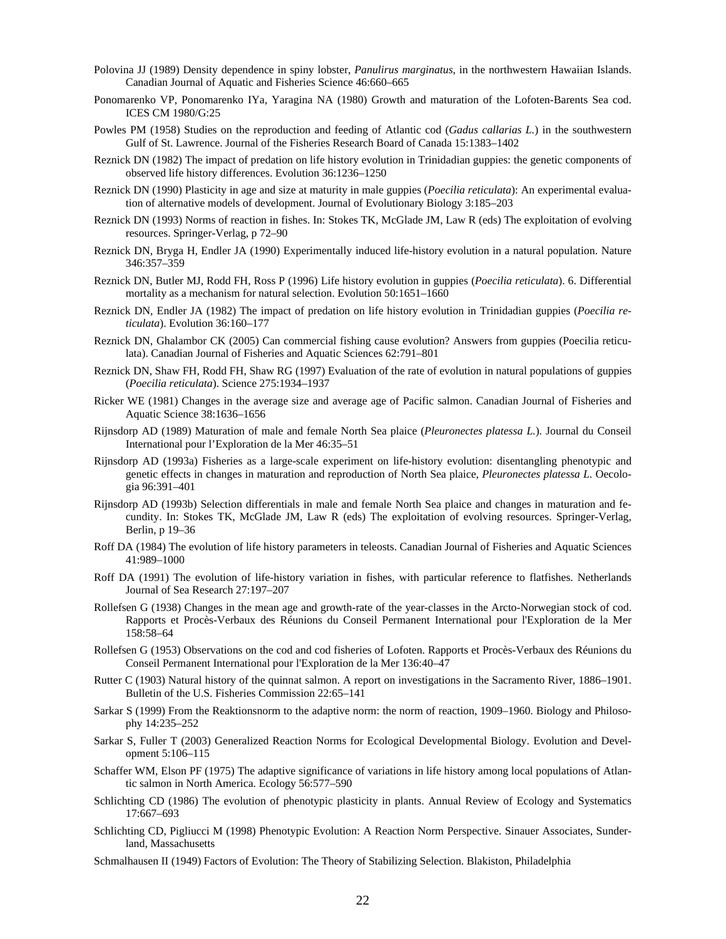- Polovina JJ (1989) Density dependence in spiny lobster, *Panulirus marginatus*, in the northwestern Hawaiian Islands. Canadian Journal of Aquatic and Fisheries Science 46:660–665
- Ponomarenko VP, Ponomarenko IYa, Yaragina NA (1980) Growth and maturation of the Lofoten-Barents Sea cod. ICES CM 1980/G:25
- Powles PM (1958) Studies on the reproduction and feeding of Atlantic cod (*Gadus callarias L.*) in the southwestern Gulf of St. Lawrence. Journal of the Fisheries Research Board of Canada 15:1383–1402
- Reznick DN (1982) The impact of predation on life history evolution in Trinidadian guppies: the genetic components of observed life history differences. Evolution 36:1236–1250
- Reznick DN (1990) Plasticity in age and size at maturity in male guppies (*Poecilia reticulata*): An experimental evaluation of alternative models of development. Journal of Evolutionary Biology 3:185–203
- Reznick DN (1993) Norms of reaction in fishes. In: Stokes TK, McGlade JM, Law R (eds) The exploitation of evolving resources. Springer-Verlag, p 72–90
- Reznick DN, Bryga H, Endler JA (1990) Experimentally induced life-history evolution in a natural population. Nature 346:357–359
- Reznick DN, Butler MJ, Rodd FH, Ross P (1996) Life history evolution in guppies (*Poecilia reticulata*). 6. Differential mortality as a mechanism for natural selection. Evolution 50:1651–1660
- Reznick DN, Endler JA (1982) The impact of predation on life history evolution in Trinidadian guppies (*Poecilia reticulata*). Evolution 36:160–177
- Reznick DN, Ghalambor CK (2005) Can commercial fishing cause evolution? Answers from guppies (Poecilia reticulata). Canadian Journal of Fisheries and Aquatic Sciences 62:791–801
- Reznick DN, Shaw FH, Rodd FH, Shaw RG (1997) Evaluation of the rate of evolution in natural populations of guppies (*Poecilia reticulata*). Science 275:1934–1937
- Ricker WE (1981) Changes in the average size and average age of Pacific salmon. Canadian Journal of Fisheries and Aquatic Science 38:1636–1656
- Rijnsdorp AD (1989) Maturation of male and female North Sea plaice (*Pleuronectes platessa L.*). Journal du Conseil International pour l'Exploration de la Mer 46:35–51
- Rijnsdorp AD (1993a) Fisheries as a large-scale experiment on life-history evolution: disentangling phenotypic and genetic effects in changes in maturation and reproduction of North Sea plaice, *Pleuronectes platessa L*. Oecologia 96:391–401
- Rijnsdorp AD (1993b) Selection differentials in male and female North Sea plaice and changes in maturation and fecundity. In: Stokes TK, McGlade JM, Law R (eds) The exploitation of evolving resources. Springer-Verlag, Berlin, p 19–36
- Roff DA (1984) The evolution of life history parameters in teleosts. Canadian Journal of Fisheries and Aquatic Sciences 41:989–1000
- Roff DA (1991) The evolution of life-history variation in fishes, with particular reference to flatfishes. Netherlands Journal of Sea Research 27:197–207
- Rollefsen G (1938) Changes in the mean age and growth-rate of the year-classes in the Arcto-Norwegian stock of cod. Rapports et Procès-Verbaux des Réunions du Conseil Permanent International pour l'Exploration de la Mer 158:58–64
- Rollefsen G (1953) Observations on the cod and cod fisheries of Lofoten. Rapports et Procès-Verbaux des Réunions du Conseil Permanent International pour l'Exploration de la Mer 136:40–47
- Rutter C (1903) Natural history of the quinnat salmon. A report on investigations in the Sacramento River, 1886–1901. Bulletin of the U.S. Fisheries Commission 22:65–141
- Sarkar S (1999) From the Reaktionsnorm to the adaptive norm: the norm of reaction, 1909–1960. Biology and Philosophy 14:235–252
- Sarkar S, Fuller T (2003) Generalized Reaction Norms for Ecological Developmental Biology. Evolution and Development 5:106–115
- Schaffer WM, Elson PF (1975) The adaptive significance of variations in life history among local populations of Atlantic salmon in North America. Ecology 56:577–590
- Schlichting CD (1986) The evolution of phenotypic plasticity in plants. Annual Review of Ecology and Systematics 17:667–693
- Schlichting CD, Pigliucci M (1998) Phenotypic Evolution: A Reaction Norm Perspective. Sinauer Associates, Sunderland, Massachusetts
- Schmalhausen II (1949) Factors of Evolution: The Theory of Stabilizing Selection. Blakiston, Philadelphia